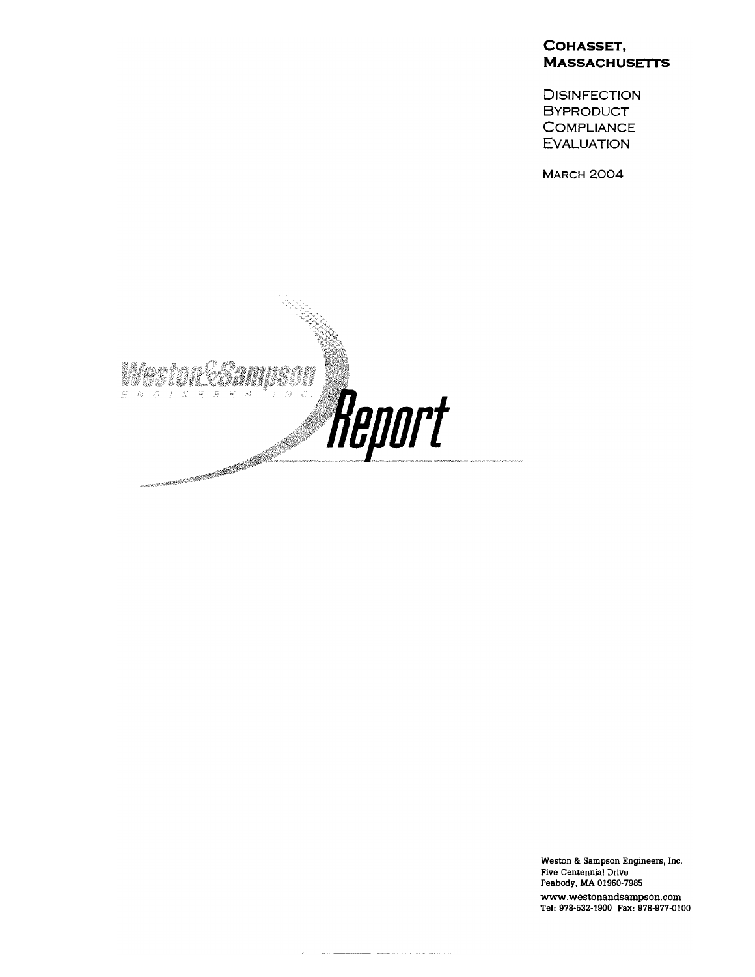#### COHASSET, **MASSACHUSETTS**

**DISINFECTION BYPRODUCT COMPLIANCE EVALUATION** 

**MARCH 2004** 



Weston & Sampson Engineers, Inc. Five Centennial Drive Peabody, MA 01960-7985 www.westonandsampson.com<br>Tel: 978-532-1900 Fax: 978-977-0100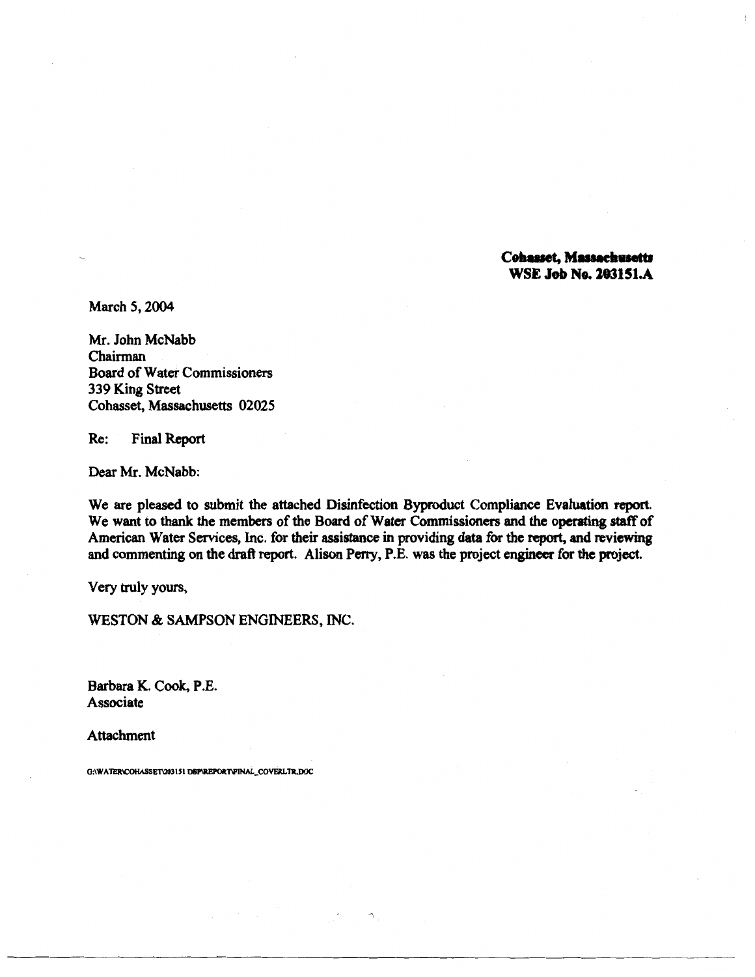**Cohasset, Massachusetts WSE Job No. 203151.A** 

March 5, 2004

Mr. John McNabb Chairman **Board of Water Commissioners** 339 King Street Cohasset, Massachusetts 02025

**Final Report**  $Re:$ 

Dear Mr. McNabb:

We are pleased to submit the attached Disinfection Byproduct Compliance Evaluation report. We want to thank the members of the Board of Water Commissioners and the operating staff of American Water Services, Inc. for their assistance in providing data for the report, and reviewing and commenting on the draft report. Alison Perry, P.E. was the project engineer for the project.

Very truly yours,

WESTON & SAMPSON ENGINEERS, INC.

Barbara K. Cook, P.E. Associate

**Attachment** 

G:\WATER\COHASSET\203151 DBP\REPORT\FINAL\_COVERLTR.DOC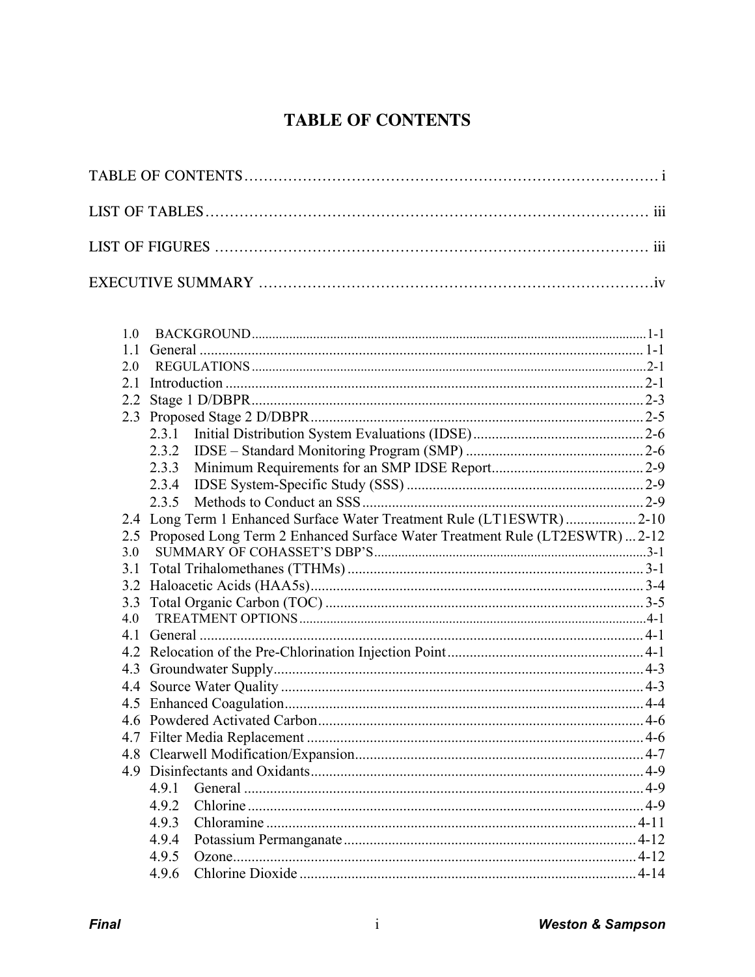# **TABLE OF CONTENTS**

| 1.0 |                                                                             |  |
|-----|-----------------------------------------------------------------------------|--|
| 1.1 |                                                                             |  |
| 2.0 |                                                                             |  |
| 2.1 |                                                                             |  |
| 2.2 |                                                                             |  |
| 2.3 |                                                                             |  |
|     | 2.3.1                                                                       |  |
|     | 2.3.2                                                                       |  |
|     | 2.3.3                                                                       |  |
|     | 2.3.4                                                                       |  |
|     | 2.3.5                                                                       |  |
|     | 2.4 Long Term 1 Enhanced Surface Water Treatment Rule (LT1ESWTR)  2-10      |  |
| 2.5 | Proposed Long Term 2 Enhanced Surface Water Treatment Rule (LT2ESWTR)  2-12 |  |
| 3.0 |                                                                             |  |
| 3.1 |                                                                             |  |
| 3.2 |                                                                             |  |
| 3.3 |                                                                             |  |
| 4.0 |                                                                             |  |
|     |                                                                             |  |
|     |                                                                             |  |
| 4.3 |                                                                             |  |
| 4.4 |                                                                             |  |
|     |                                                                             |  |
|     |                                                                             |  |
|     |                                                                             |  |
|     |                                                                             |  |
| 4.9 |                                                                             |  |
|     | 4.9.1                                                                       |  |
|     | 4.9.2                                                                       |  |
|     | 4.9.3                                                                       |  |
|     | 4.9.4                                                                       |  |
|     | 4.9.5                                                                       |  |
|     | 4.9.6                                                                       |  |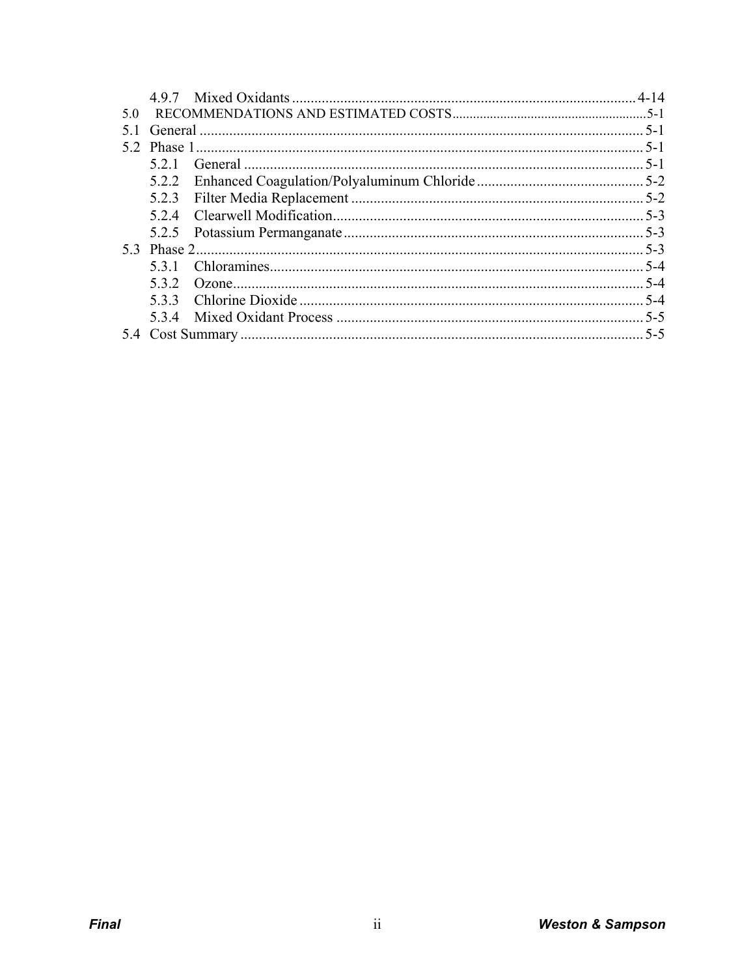|     | 497 |  |
|-----|-----|--|
| .50 |     |  |
|     |     |  |
| 52  |     |  |
|     | 521 |  |
|     |     |  |
|     |     |  |
|     |     |  |
|     |     |  |
|     |     |  |
|     | 531 |  |
|     | 532 |  |
|     |     |  |
|     |     |  |
|     |     |  |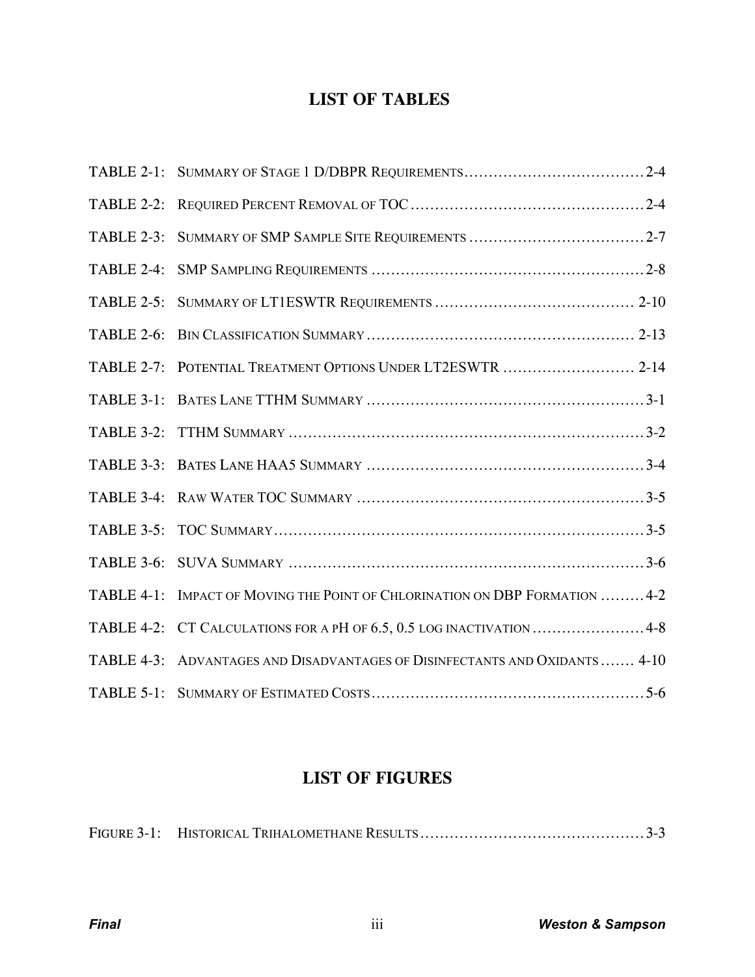# **LIST OF TABLES**

| TABLE 2-3: |                                                                             |
|------------|-----------------------------------------------------------------------------|
|            |                                                                             |
|            |                                                                             |
|            |                                                                             |
|            | TABLE 2-7: POTENTIAL TREATMENT OPTIONS UNDER LT2ESWTR  2-14                 |
|            |                                                                             |
|            |                                                                             |
|            |                                                                             |
|            |                                                                             |
|            |                                                                             |
|            |                                                                             |
|            | TABLE 4-1: IMPACT OF MOVING THE POINT OF CHLORINATION ON DBP FORMATION  4-2 |
|            | TABLE 4-2: CT CALCULATIONS FOR A PH OF 6.5, 0.5 LOG INACTIVATION  4-8       |
|            | TABLE 4-3: ADVANTAGES AND DISADVANTAGES OF DISINFECTANTS AND OXIDANTS  4-10 |
|            |                                                                             |

# **LIST OF FIGURES**

|--|--|--|--|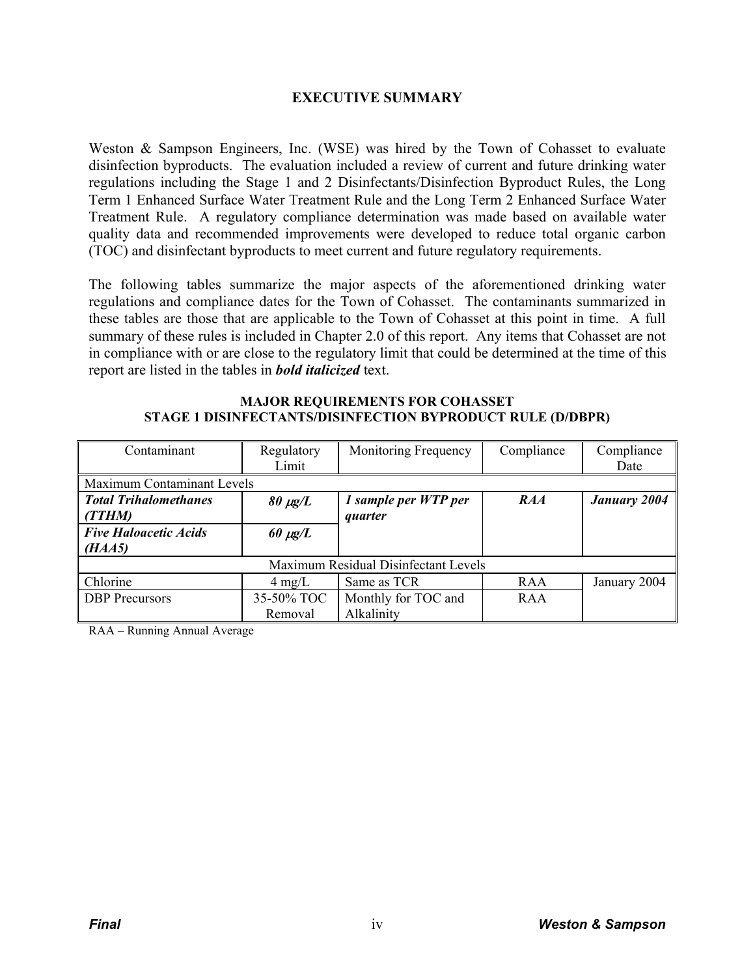## **EXECUTIVE SUMMARY**

Weston & Sampson Engineers, Inc. (WSE) was hired by the Town of Cohasset to evaluate disinfection byproducts. The evaluation included a review of current and future drinking water regulations including the Stage 1 and 2 Disinfectants/Disinfection Byproduct Rules, the Long Term 1 Enhanced Surface Water Treatment Rule and the Long Term 2 Enhanced Surface Water Treatment Rule. A regulatory compliance determination was made based on available water quality data and recommended improvements were developed to reduce total organic carbon (TOC) and disinfectant byproducts to meet current and future regulatory requirements.

The following tables summarize the major aspects of the aforementioned drinking water regulations and compliance dates for the Town of Cohasset. The contaminants summarized in these tables are those that are applicable to the Town of Cohasset at this point in time. A full summary of these rules is included in Chapter 2.0 of this report. Any items that Cohasset are not in compliance with or are close to the regulatory limit that could be determined at the time of this report are listed in the tables in *bold italicized* text.

#### **MAJOR REQUIREMENTS FOR COHASSET STAGE 1 DISINFECTANTS/DISINFECTION BYPRODUCT RULE (D/DBPR)**

| Contaminant                          | Regulatory       | Monitoring Frequency | Compliance | Compliance          |  |
|--------------------------------------|------------------|----------------------|------------|---------------------|--|
|                                      | Limit            |                      |            | Date                |  |
| Maximum Contaminant Levels           |                  |                      |            |                     |  |
| <b>Total Trihalomethanes</b>         | $80 \mu g/L$     | 1 sample per WTP per | RAA        | <b>January 2004</b> |  |
| (TTHM)                               |                  | quarter              |            |                     |  |
| <b>Five Haloacetic Acids</b>         | $60 \mu g/L$     |                      |            |                     |  |
| (HAA5)                               |                  |                      |            |                     |  |
| Maximum Residual Disinfectant Levels |                  |                      |            |                     |  |
| Chlorine                             | $4 \text{ mg/L}$ | Same as TCR          | <b>RAA</b> | January 2004        |  |
| <b>DBP</b> Precursors                | 35-50% TOC       | Monthly for TOC and  | <b>RAA</b> |                     |  |
|                                      | Removal          | Alkalinity           |            |                     |  |

RAA – Running Annual Average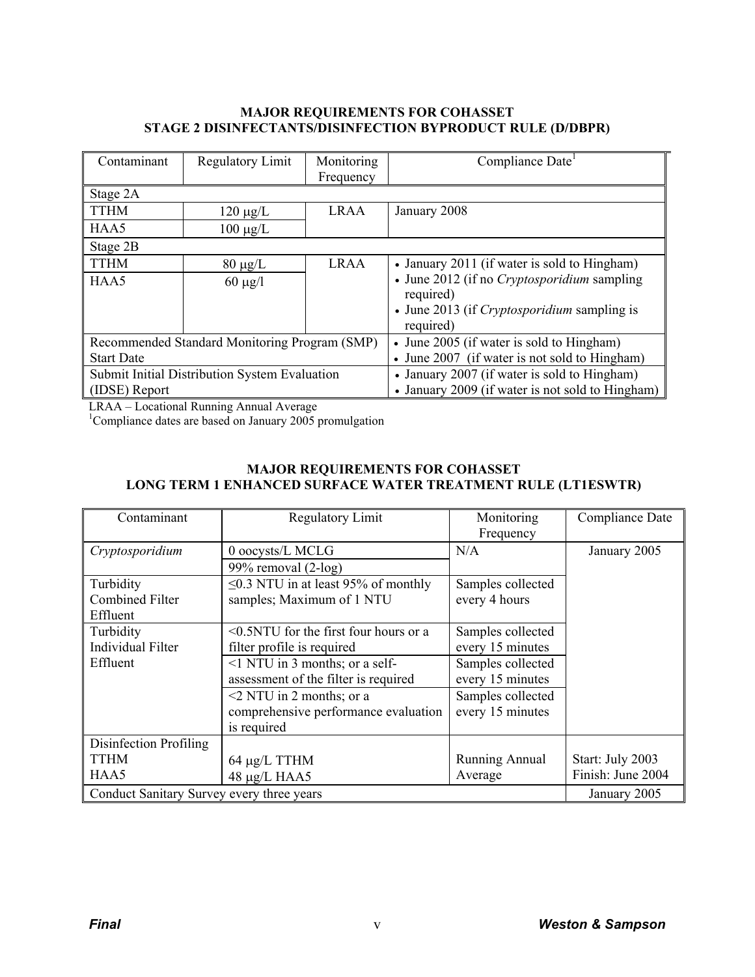#### **MAJOR REQUIREMENTS FOR COHASSET STAGE 2 DISINFECTANTS/DISINFECTION BYPRODUCT RULE (D/DBPR)**

| Contaminant                                   | Regulatory Limit                              | Monitoring  | Compliance Date                                    |  |
|-----------------------------------------------|-----------------------------------------------|-------------|----------------------------------------------------|--|
|                                               |                                               | Frequency   |                                                    |  |
| Stage 2A                                      |                                               |             |                                                    |  |
| <b>TTHM</b>                                   | $120 \mu g/L$                                 | <b>LRAA</b> | January 2008                                       |  |
| HAA5                                          | $100 \mu g/L$                                 |             |                                                    |  |
| Stage 2B                                      |                                               |             |                                                    |  |
| <b>TTHM</b>                                   | $80 \mu g/L$                                  | <b>LRAA</b> | • January 2011 (if water is sold to Hingham)       |  |
| HAA5                                          | $60 \mu g/l$                                  |             | • June 2012 (if no <i>Cryptosporidium</i> sampling |  |
|                                               |                                               |             | required)                                          |  |
|                                               |                                               |             | • June 2013 (if <i>Cryptosporidium</i> sampling is |  |
|                                               |                                               |             | required)                                          |  |
|                                               | Recommended Standard Monitoring Program (SMP) |             | • June 2005 (if water is sold to Hingham)          |  |
| <b>Start Date</b>                             |                                               |             | • June 2007 (if water is not sold to Hingham)      |  |
| Submit Initial Distribution System Evaluation |                                               |             | • January 2007 (if water is sold to Hingham)       |  |
| (IDSE) Report                                 |                                               |             | • January 2009 (if water is not sold to Hingham)   |  |

LRAA – Locational Running Annual Average 1 Compliance dates are based on January 2005 promulgation

# **MAJOR REQUIREMENTS FOR COHASSET LONG TERM 1 ENHANCED SURFACE WATER TREATMENT RULE (LT1ESWTR)**

| Contaminant                               | Regulatory Limit<br>Monitoring               |                       | Compliance Date   |
|-------------------------------------------|----------------------------------------------|-----------------------|-------------------|
|                                           | Frequency                                    |                       |                   |
| Cryptosporidium                           | 0 oocysts/L MCLG                             | N/A                   | January 2005      |
|                                           | 99% removal $(2-log)$                        |                       |                   |
| Turbidity                                 | $\leq$ 0.3 NTU in at least 95% of monthly    | Samples collected     |                   |
| <b>Combined Filter</b>                    | samples; Maximum of 1 NTU                    | every 4 hours         |                   |
| Effluent                                  |                                              |                       |                   |
| Turbidity                                 | $\leq 0.5$ NTU for the first four hours or a | Samples collected     |                   |
| <b>Individual Filter</b>                  | filter profile is required                   | every 15 minutes      |                   |
| Effluent                                  | $\leq$ 1 NTU in 3 months; or a self-         | Samples collected     |                   |
| assessment of the filter is required      |                                              | every 15 minutes      |                   |
| $\leq$ 2 NTU in 2 months; or a            |                                              | Samples collected     |                   |
|                                           | comprehensive performance evaluation         | every 15 minutes      |                   |
|                                           | is required                                  |                       |                   |
| Disinfection Profiling                    |                                              |                       |                   |
| <b>TTHM</b>                               | 64 µg/L TTHM                                 | <b>Running Annual</b> | Start: July 2003  |
| HAA5                                      | 48 µg/L HAA5                                 | Average               | Finish: June 2004 |
| Conduct Sanitary Survey every three years | January 2005                                 |                       |                   |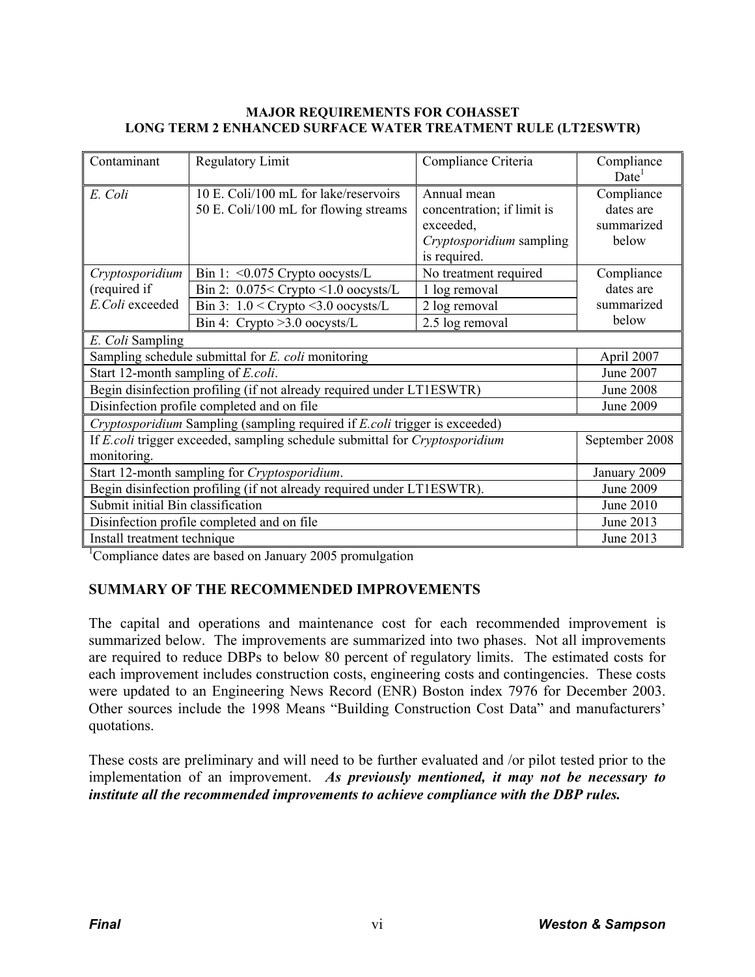#### **MAJOR REQUIREMENTS FOR COHASSET LONG TERM 2 ENHANCED SURFACE WATER TREATMENT RULE (LT2ESWTR)**

| Contaminant                                                                                | <b>Regulatory Limit</b>                                                        | Compliance Criteria                                                                                | Compliance<br>Date <sup>1</sup>                |  |  |  |
|--------------------------------------------------------------------------------------------|--------------------------------------------------------------------------------|----------------------------------------------------------------------------------------------------|------------------------------------------------|--|--|--|
| E. Coli                                                                                    | 10 E. Coli/100 mL for lake/reservoirs<br>50 E. Coli/100 mL for flowing streams | Annual mean<br>concentration; if limit is<br>exceeded,<br>Cryptosporidium sampling<br>is required. | Compliance<br>dates are<br>summarized<br>below |  |  |  |
| Cryptosporidium                                                                            | Bin 1: $\leq 0.075$ Crypto oocysts/L                                           | No treatment required                                                                              | Compliance                                     |  |  |  |
| (required if                                                                               | Bin 2: $0.075 <$ Crypto $<$ 1.0 oocysts/L                                      | 1 log removal                                                                                      | dates are                                      |  |  |  |
| E.Coli exceeded                                                                            | Bin 3: $1.0 <$ Crypto $<$ 3.0 oocysts/L                                        | 2 log removal                                                                                      | summarized                                     |  |  |  |
|                                                                                            | Bin 4: Crypto $>3.0$ oocysts/L                                                 | 2.5 log removal                                                                                    | below                                          |  |  |  |
| E. Coli Sampling                                                                           |                                                                                |                                                                                                    |                                                |  |  |  |
| Sampling schedule submittal for E. coli monitoring<br>April 2007                           |                                                                                |                                                                                                    |                                                |  |  |  |
| Start 12-month sampling of <i>E.coli.</i>                                                  | June 2007                                                                      |                                                                                                    |                                                |  |  |  |
| Begin disinfection profiling (if not already required under LT1ESWTR)                      | <b>June 2008</b>                                                               |                                                                                                    |                                                |  |  |  |
| Disinfection profile completed and on file                                                 | <b>June 2009</b>                                                               |                                                                                                    |                                                |  |  |  |
|                                                                                            | Cryptosporidium Sampling (sampling required if E.coli trigger is exceeded)     |                                                                                                    |                                                |  |  |  |
| If E.coli trigger exceeded, sampling schedule submittal for Cryptosporidium<br>monitoring. | September 2008                                                                 |                                                                                                    |                                                |  |  |  |
| Start 12-month sampling for Cryptosporidium.                                               | January 2009                                                                   |                                                                                                    |                                                |  |  |  |
| Begin disinfection profiling (if not already required under LT1ESWTR).                     | <b>June 2009</b>                                                               |                                                                                                    |                                                |  |  |  |
| Submit initial Bin classification                                                          | June 2010                                                                      |                                                                                                    |                                                |  |  |  |
| Disinfection profile completed and on file                                                 | June 2013                                                                      |                                                                                                    |                                                |  |  |  |
| Install treatment technique                                                                |                                                                                |                                                                                                    | June 2013                                      |  |  |  |

<sup>1</sup>Compliance dates are based on January 2005 promulgation

# **SUMMARY OF THE RECOMMENDED IMPROVEMENTS**

The capital and operations and maintenance cost for each recommended improvement is summarized below. The improvements are summarized into two phases. Not all improvements are required to reduce DBPs to below 80 percent of regulatory limits. The estimated costs for each improvement includes construction costs, engineering costs and contingencies. These costs were updated to an Engineering News Record (ENR) Boston index 7976 for December 2003. Other sources include the 1998 Means "Building Construction Cost Data" and manufacturers' quotations.

These costs are preliminary and will need to be further evaluated and /or pilot tested prior to the implementation of an improvement. *As previously mentioned, it may not be necessary to institute all the recommended improvements to achieve compliance with the DBP rules.*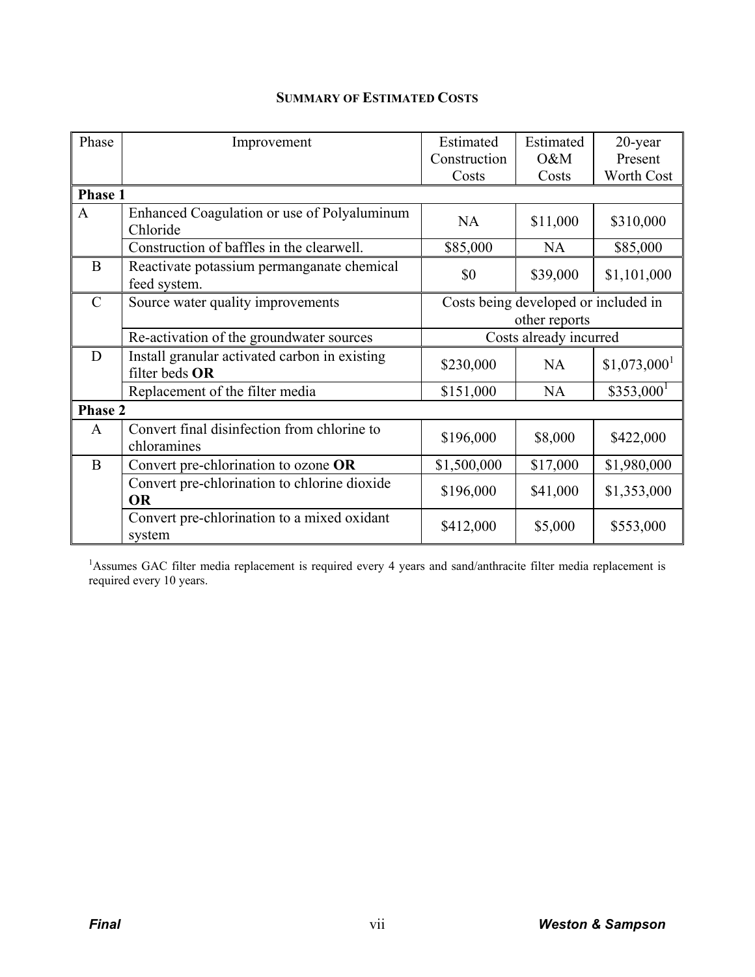# **SUMMARY OF ESTIMATED COSTS**

| Phase         | Improvement                                                     | Estimated              | Estimated                            | 20-year                   |
|---------------|-----------------------------------------------------------------|------------------------|--------------------------------------|---------------------------|
|               |                                                                 | Construction           | O&M                                  | Present                   |
|               |                                                                 | Costs                  | Costs                                | Worth Cost                |
| Phase 1       |                                                                 |                        |                                      |                           |
| $\mathbf{A}$  | Enhanced Coagulation or use of Polyaluminum<br>Chloride         | <b>NA</b>              | \$11,000                             | \$310,000                 |
|               | Construction of baffles in the clearwell.                       | \$85,000               | <b>NA</b>                            | \$85,000                  |
| B             | Reactivate potassium permanganate chemical<br>feed system.      | \$0                    | \$39,000                             | \$1,101,000               |
| $\mathcal{C}$ | Source water quality improvements                               |                        | Costs being developed or included in |                           |
|               |                                                                 |                        | other reports                        |                           |
|               | Re-activation of the groundwater sources                        |                        | Costs already incurred               |                           |
| D             | Install granular activated carbon in existing<br>filter beds OR | \$230,000              | <b>NA</b>                            | $$1,073,000$ <sup>1</sup> |
|               | Replacement of the filter media                                 | \$151,000<br><b>NA</b> |                                      | $$353,000$ <sup>1</sup>   |
| Phase 2       |                                                                 |                        |                                      |                           |
| $\mathbf{A}$  | Convert final disinfection from chlorine to<br>chloramines      | \$196,000              | \$8,000                              | \$422,000                 |
| B             | Convert pre-chlorination to ozone OR                            | \$1,500,000            | \$17,000                             | \$1,980,000               |
|               | Convert pre-chlorination to chlorine dioxide<br><b>OR</b>       | \$196,000              | \$41,000                             | \$1,353,000               |
|               | Convert pre-chlorination to a mixed oxidant<br>system           | \$412,000              | \$5,000                              | \$553,000                 |

<sup>1</sup>Assumes GAC filter media replacement is required every 4 years and sand/anthracite filter media replacement is required every 10 years.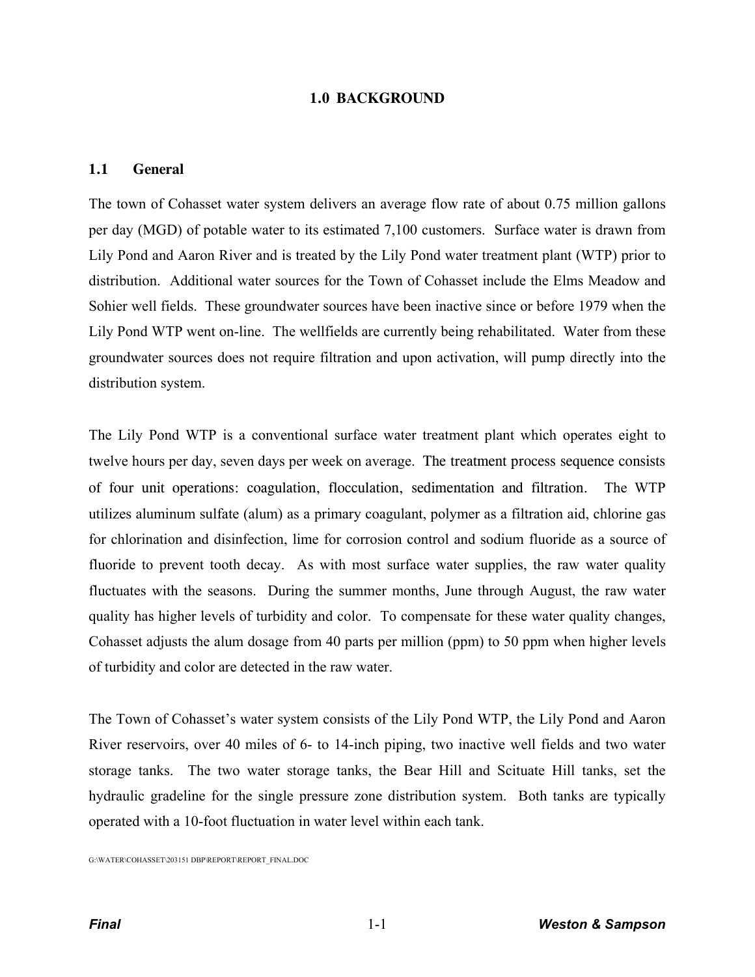### **1.0 BACKGROUND**

#### **1.1 General**

The town of Cohasset water system delivers an average flow rate of about 0.75 million gallons per day (MGD) of potable water to its estimated 7,100 customers. Surface water is drawn from Lily Pond and Aaron River and is treated by the Lily Pond water treatment plant (WTP) prior to distribution. Additional water sources for the Town of Cohasset include the Elms Meadow and Sohier well fields. These groundwater sources have been inactive since or before 1979 when the Lily Pond WTP went on-line. The wellfields are currently being rehabilitated. Water from these groundwater sources does not require filtration and upon activation, will pump directly into the distribution system.

The Lily Pond WTP is a conventional surface water treatment plant which operates eight to twelve hours per day, seven days per week on average. The treatment process sequence consists of four unit operations: coagulation, flocculation, sedimentation and filtration. The WTP utilizes aluminum sulfate (alum) as a primary coagulant, polymer as a filtration aid, chlorine gas for chlorination and disinfection, lime for corrosion control and sodium fluoride as a source of fluoride to prevent tooth decay. As with most surface water supplies, the raw water quality fluctuates with the seasons. During the summer months, June through August, the raw water quality has higher levels of turbidity and color. To compensate for these water quality changes, Cohasset adjusts the alum dosage from 40 parts per million (ppm) to 50 ppm when higher levels of turbidity and color are detected in the raw water.

The Town of Cohasset's water system consists of the Lily Pond WTP, the Lily Pond and Aaron River reservoirs, over 40 miles of 6- to 14-inch piping, two inactive well fields and two water storage tanks. The two water storage tanks, the Bear Hill and Scituate Hill tanks, set the hydraulic gradeline for the single pressure zone distribution system. Both tanks are typically operated with a 10-foot fluctuation in water level within each tank.

G:\WATER\COHASSET\203151 DBP\REPORT\REPORT\_FINAL.DOC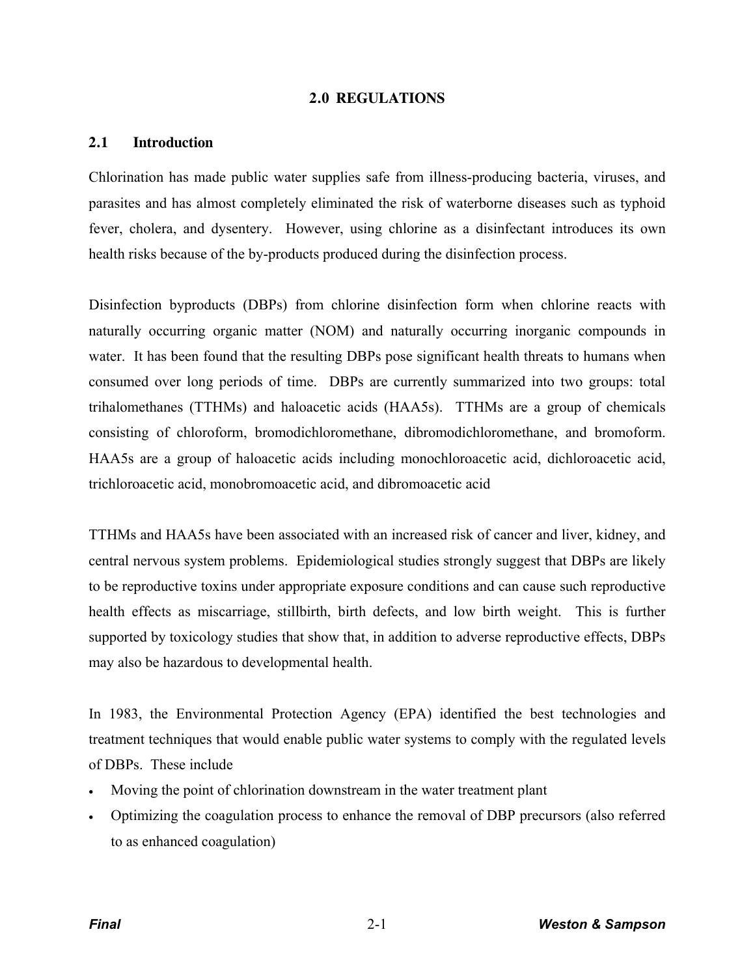#### **2.0 REGULATIONS**

#### **2.1 Introduction**

Chlorination has made public water supplies safe from illness-producing bacteria, viruses, and parasites and has almost completely eliminated the risk of waterborne diseases such as typhoid fever, cholera, and dysentery. However, using chlorine as a disinfectant introduces its own health risks because of the by-products produced during the disinfection process.

Disinfection byproducts (DBPs) from chlorine disinfection form when chlorine reacts with naturally occurring organic matter (NOM) and naturally occurring inorganic compounds in water. It has been found that the resulting DBPs pose significant health threats to humans when consumed over long periods of time. DBPs are currently summarized into two groups: total trihalomethanes (TTHMs) and haloacetic acids (HAA5s). TTHMs are a group of chemicals consisting of chloroform, bromodichloromethane, dibromodichloromethane, and bromoform. HAA5s are a group of haloacetic acids including monochloroacetic acid, dichloroacetic acid, trichloroacetic acid, monobromoacetic acid, and dibromoacetic acid

TTHMs and HAA5s have been associated with an increased risk of cancer and liver, kidney, and central nervous system problems. Epidemiological studies strongly suggest that DBPs are likely to be reproductive toxins under appropriate exposure conditions and can cause such reproductive health effects as miscarriage, stillbirth, birth defects, and low birth weight. This is further supported by toxicology studies that show that, in addition to adverse reproductive effects, DBPs may also be hazardous to developmental health.

In 1983, the Environmental Protection Agency (EPA) identified the best technologies and treatment techniques that would enable public water systems to comply with the regulated levels of DBPs. These include

- Moving the point of chlorination downstream in the water treatment plant
- x Optimizing the coagulation process to enhance the removal of DBP precursors (also referred to as enhanced coagulation)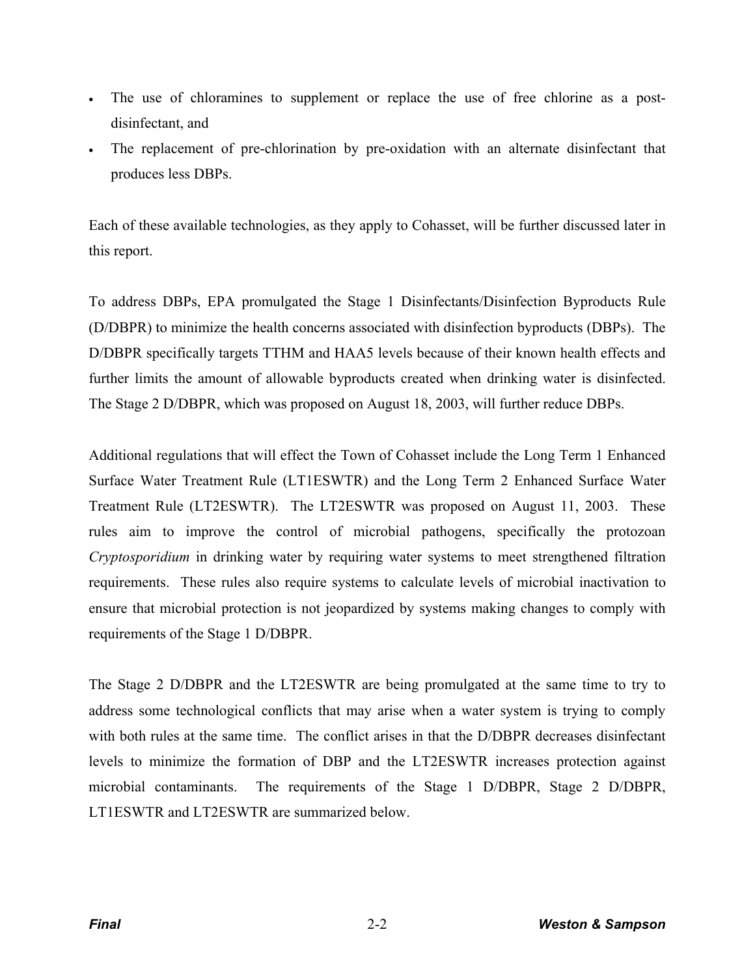- The use of chloramines to supplement or replace the use of free chlorine as a postdisinfectant, and
- The replacement of pre-chlorination by pre-oxidation with an alternate disinfectant that produces less DBPs.

Each of these available technologies, as they apply to Cohasset, will be further discussed later in this report.

To address DBPs, EPA promulgated the Stage 1 Disinfectants/Disinfection Byproducts Rule (D/DBPR) to minimize the health concerns associated with disinfection byproducts (DBPs). The D/DBPR specifically targets TTHM and HAA5 levels because of their known health effects and further limits the amount of allowable byproducts created when drinking water is disinfected. The Stage 2 D/DBPR, which was proposed on August 18, 2003, will further reduce DBPs.

Additional regulations that will effect the Town of Cohasset include the Long Term 1 Enhanced Surface Water Treatment Rule (LT1ESWTR) and the Long Term 2 Enhanced Surface Water Treatment Rule (LT2ESWTR). The LT2ESWTR was proposed on August 11, 2003. These rules aim to improve the control of microbial pathogens, specifically the protozoan *Cryptosporidium* in drinking water by requiring water systems to meet strengthened filtration requirements. These rules also require systems to calculate levels of microbial inactivation to ensure that microbial protection is not jeopardized by systems making changes to comply with requirements of the Stage 1 D/DBPR.

The Stage 2 D/DBPR and the LT2ESWTR are being promulgated at the same time to try to address some technological conflicts that may arise when a water system is trying to comply with both rules at the same time. The conflict arises in that the D/DBPR decreases disinfectant levels to minimize the formation of DBP and the LT2ESWTR increases protection against microbial contaminants. The requirements of the Stage 1 D/DBPR, Stage 2 D/DBPR, LT1ESWTR and LT2ESWTR are summarized below.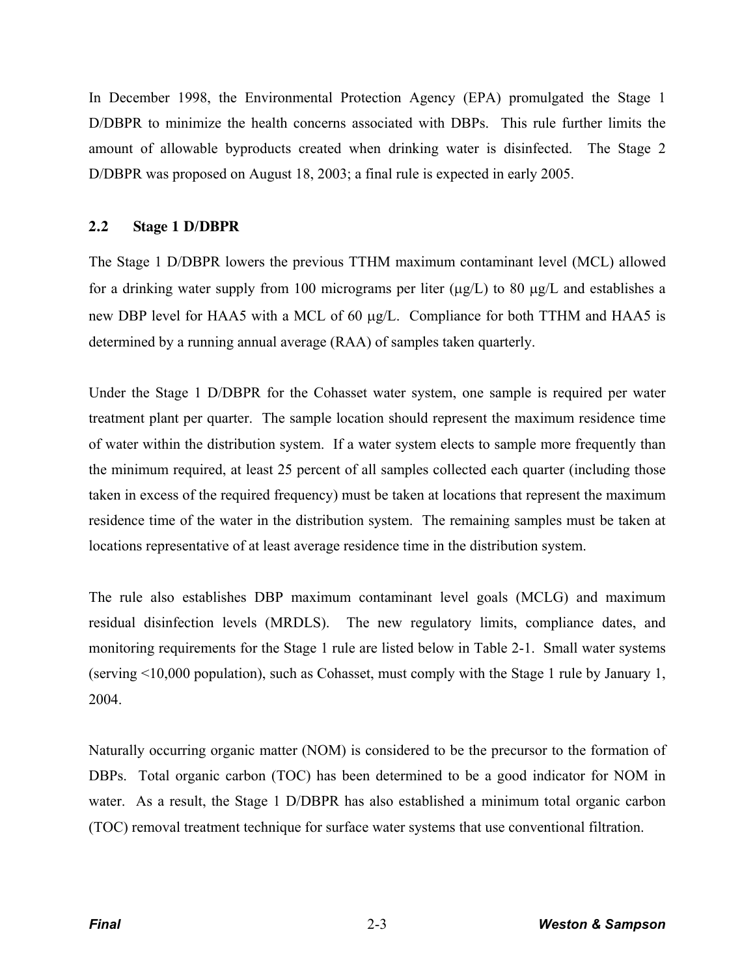In December 1998, the Environmental Protection Agency (EPA) promulgated the Stage 1 D/DBPR to minimize the health concerns associated with DBPs. This rule further limits the amount of allowable byproducts created when drinking water is disinfected. The Stage 2 D/DBPR was proposed on August 18, 2003; a final rule is expected in early 2005.

# **2.2 Stage 1 D/DBPR**

The Stage 1 D/DBPR lowers the previous TTHM maximum contaminant level (MCL) allowed for a drinking water supply from 100 micrograms per liter  $(\mu g/L)$  to 80  $\mu g/L$  and establishes a new DBP level for HAA5 with a MCL of 60  $\mu$ g/L. Compliance for both TTHM and HAA5 is determined by a running annual average (RAA) of samples taken quarterly.

Under the Stage 1 D/DBPR for the Cohasset water system, one sample is required per water treatment plant per quarter. The sample location should represent the maximum residence time of water within the distribution system. If a water system elects to sample more frequently than the minimum required, at least 25 percent of all samples collected each quarter (including those taken in excess of the required frequency) must be taken at locations that represent the maximum residence time of the water in the distribution system. The remaining samples must be taken at locations representative of at least average residence time in the distribution system.

The rule also establishes DBP maximum contaminant level goals (MCLG) and maximum residual disinfection levels (MRDLS). The new regulatory limits, compliance dates, and monitoring requirements for the Stage 1 rule are listed below in Table 2-1. Small water systems (serving <10,000 population), such as Cohasset, must comply with the Stage 1 rule by January 1, 2004.

Naturally occurring organic matter (NOM) is considered to be the precursor to the formation of DBPs. Total organic carbon (TOC) has been determined to be a good indicator for NOM in water. As a result, the Stage 1 D/DBPR has also established a minimum total organic carbon (TOC) removal treatment technique for surface water systems that use conventional filtration.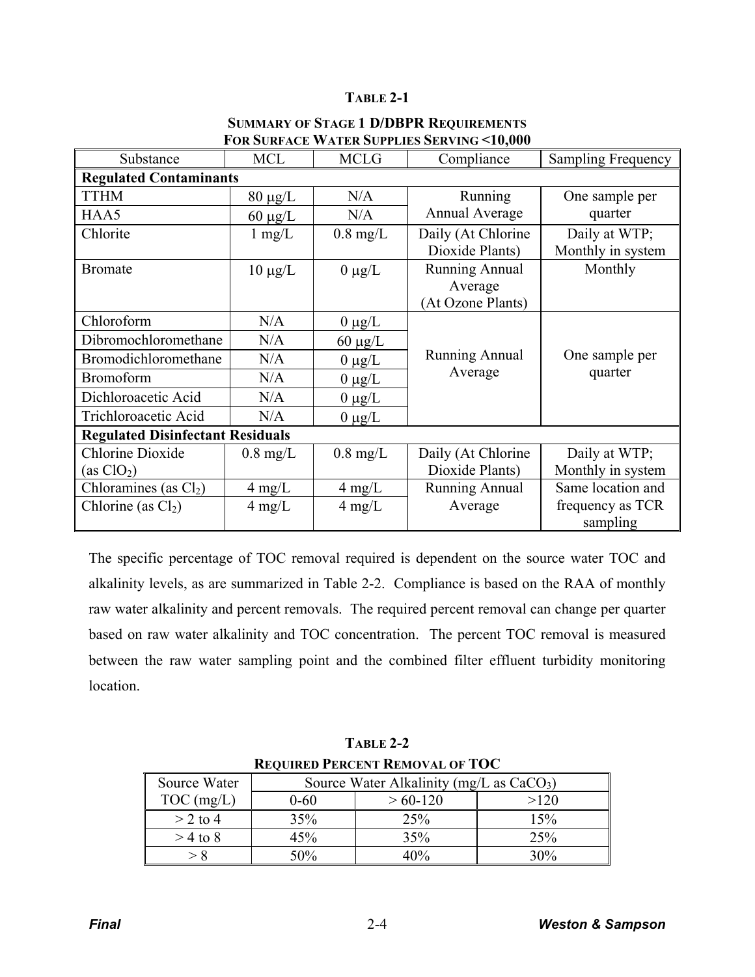## **TABLE 2-1**

| Substance                               | <b>MCL</b>         | <b>MCLG</b>        | Compliance            | <b>Sampling Frequency</b> |  |  |
|-----------------------------------------|--------------------|--------------------|-----------------------|---------------------------|--|--|
| <b>Regulated Contaminants</b>           |                    |                    |                       |                           |  |  |
| <b>TTHM</b>                             | $80 \mu g/L$       | N/A                | Running               | One sample per            |  |  |
| HAA5                                    | $60 \mu g/L$       | N/A                | Annual Average        | quarter                   |  |  |
| Chlorite                                | $1 \text{ mg/L}$   | $0.8 \text{ mg/L}$ | Daily (At Chlorine    | Daily at WTP;             |  |  |
|                                         |                    |                    | Dioxide Plants)       | Monthly in system         |  |  |
| <b>Bromate</b>                          | $10 \mu g/L$       | $0 \mu g/L$        | <b>Running Annual</b> | Monthly                   |  |  |
|                                         |                    |                    | Average               |                           |  |  |
|                                         |                    |                    | (At Ozone Plants)     |                           |  |  |
| Chloroform                              | N/A                | $0 \mu g/L$        |                       |                           |  |  |
| Dibromochloromethane                    | N/A                | $60 \mu g/L$       |                       |                           |  |  |
| Bromodichloromethane                    | N/A                | $0 \mu g/L$        | <b>Running Annual</b> | One sample per            |  |  |
| <b>Bromoform</b>                        | N/A                | $0 \mu g/L$        | Average               | quarter                   |  |  |
| Dichloroacetic Acid                     | N/A                | $0 \mu g/L$        |                       |                           |  |  |
| Trichloroacetic Acid                    | N/A                | $0 \mu g/L$        |                       |                           |  |  |
| <b>Regulated Disinfectant Residuals</b> |                    |                    |                       |                           |  |  |
| <b>Chlorine Dioxide</b>                 | $0.8 \text{ mg/L}$ | $0.8 \text{ mg/L}$ | Daily (At Chlorine    | Daily at WTP;             |  |  |
| (as ClO <sub>2</sub> )                  |                    |                    | Dioxide Plants)       | Monthly in system         |  |  |
| Chloramines (as $Cl2$ )                 | $4 \text{ mg/L}$   | $4 \text{ mg/L}$   | Running Annual        | Same location and         |  |  |
| Chlorine (as $Cl2$ )                    | $4 \text{ mg/L}$   | $4 \text{ mg/L}$   | Average               | frequency as TCR          |  |  |
|                                         |                    |                    |                       | sampling                  |  |  |

#### **SUMMARY OF STAGE 1 D/DBPR REQUIREMENTS FOR SURFACE WATER SUPPLIES SERVING <10,000**

The specific percentage of TOC removal required is dependent on the source water TOC and alkalinity levels, as are summarized in Table 2-2. Compliance is based on the RAA of monthly raw water alkalinity and percent removals. The required percent removal can change per quarter based on raw water alkalinity and TOC concentration. The percent TOC removal is measured between the raw water sampling point and the combined filter effluent turbidity monitoring location.

| <b>REQUIRED PERCENT REMOVAL OF TOC</b> |                                            |     |     |  |  |
|----------------------------------------|--------------------------------------------|-----|-----|--|--|
| Source Water                           | Source Water Alkalinity (mg/L as $CaCO3$ ) |     |     |  |  |
| $TOC$ (mg/L)                           | >120<br>$> 60 - 120$<br>$0 - 60$           |     |     |  |  |
| $> 2$ to 4                             | 35%                                        | 25% | 15% |  |  |
| $>$ 4 to 8                             | 45%                                        | 35% | 25% |  |  |
|                                        | 50%                                        | 40% | 30% |  |  |

**TABLE 2-2**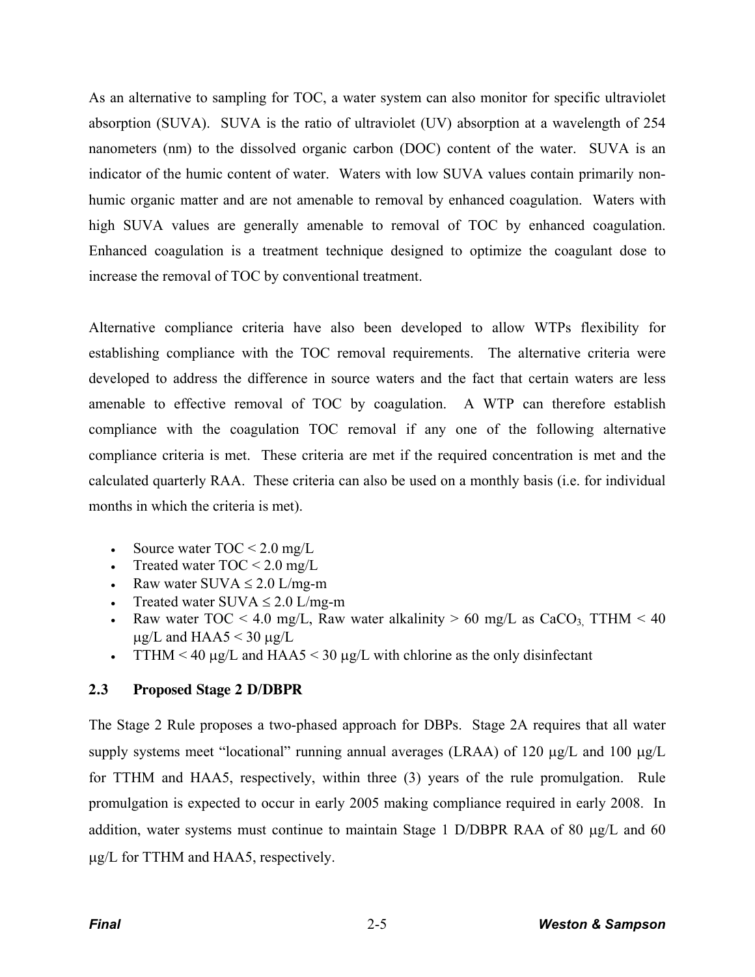As an alternative to sampling for TOC, a water system can also monitor for specific ultraviolet absorption (SUVA). SUVA is the ratio of ultraviolet (UV) absorption at a wavelength of 254 nanometers (nm) to the dissolved organic carbon (DOC) content of the water. SUVA is an indicator of the humic content of water. Waters with low SUVA values contain primarily nonhumic organic matter and are not amenable to removal by enhanced coagulation. Waters with high SUVA values are generally amenable to removal of TOC by enhanced coagulation. Enhanced coagulation is a treatment technique designed to optimize the coagulant dose to increase the removal of TOC by conventional treatment.

Alternative compliance criteria have also been developed to allow WTPs flexibility for establishing compliance with the TOC removal requirements. The alternative criteria were developed to address the difference in source waters and the fact that certain waters are less amenable to effective removal of TOC by coagulation. A WTP can therefore establish compliance with the coagulation TOC removal if any one of the following alternative compliance criteria is met. These criteria are met if the required concentration is met and the calculated quarterly RAA. These criteria can also be used on a monthly basis (i.e. for individual months in which the criteria is met).

- Source water  $TOC < 2.0$  mg/L
- Treated water  $TOC < 2.0$  mg/L
- Example Raw water SUVA  $\le$  2.0 L/mg-m
- Treated water SUVA  $\leq 2.0$  L/mg-m
- Raw water TOC < 4.0 mg/L, Raw water alkalinity > 60 mg/L as CaCO<sub>3</sub> TTHM < 40  $\mu$ g/L and HAA5 < 30  $\mu$ g/L
- TTHM < 40  $\mu$ g/L and HAA5 < 30  $\mu$ g/L with chlorine as the only disinfectant

# **2.3 Proposed Stage 2 D/DBPR**

The Stage 2 Rule proposes a two-phased approach for DBPs. Stage 2A requires that all water supply systems meet "locational" running annual averages (LRAA) of 120  $\mu$ g/L and 100  $\mu$ g/L for TTHM and HAA5, respectively, within three (3) years of the rule promulgation. Rule promulgation is expected to occur in early 2005 making compliance required in early 2008. In addition, water systems must continue to maintain Stage 1 D/DBPR RAA of 80  $\mu$ g/L and 60  $\mu$ g/L for TTHM and HAA5, respectively.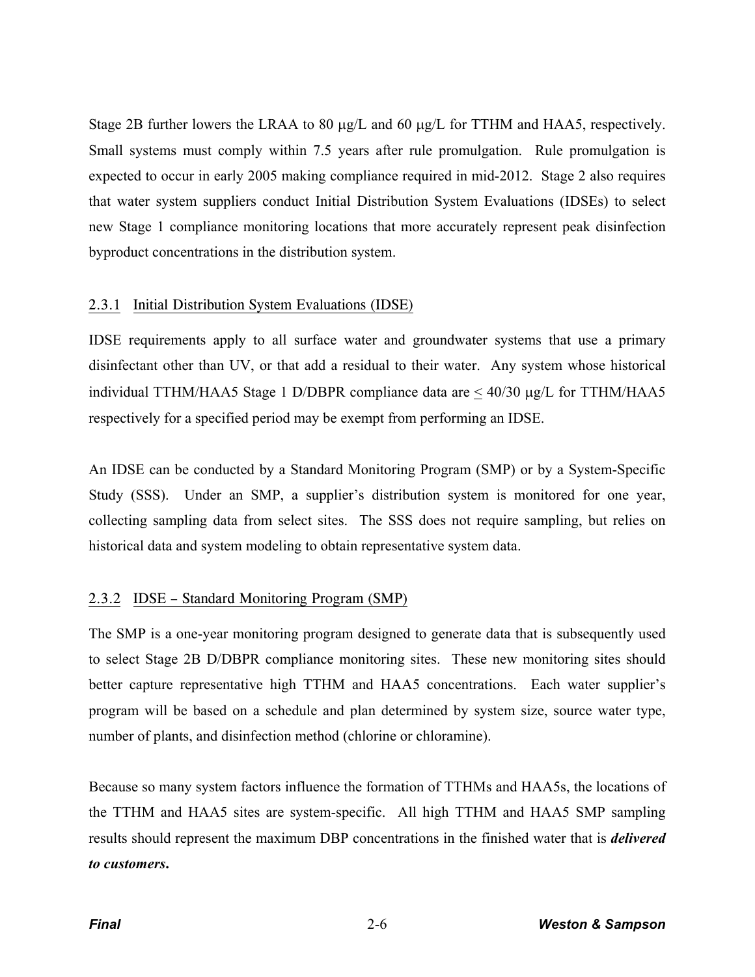Stage 2B further lowers the LRAA to 80  $\mu$ g/L and 60  $\mu$ g/L for TTHM and HAA5, respectively. Small systems must comply within 7.5 years after rule promulgation. Rule promulgation is expected to occur in early 2005 making compliance required in mid-2012. Stage 2 also requires that water system suppliers conduct Initial Distribution System Evaluations (IDSEs) to select new Stage 1 compliance monitoring locations that more accurately represent peak disinfection byproduct concentrations in the distribution system.

#### 2.3.1 Initial Distribution System Evaluations (IDSE)

IDSE requirements apply to all surface water and groundwater systems that use a primary disinfectant other than UV, or that add a residual to their water. Any system whose historical individual TTHM/HAA5 Stage 1 D/DBPR compliance data are  $\leq 40/30$  µg/L for TTHM/HAA5 respectively for a specified period may be exempt from performing an IDSE.

An IDSE can be conducted by a Standard Monitoring Program (SMP) or by a System-Specific Study (SSS). Under an SMP, a supplier's distribution system is monitored for one year, collecting sampling data from select sites. The SSS does not require sampling, but relies on historical data and system modeling to obtain representative system data.

# 2.3.2 IDSE – Standard Monitoring Program (SMP)

The SMP is a one-year monitoring program designed to generate data that is subsequently used to select Stage 2B D/DBPR compliance monitoring sites. These new monitoring sites should better capture representative high TTHM and HAA5 concentrations. Each water supplier's program will be based on a schedule and plan determined by system size, source water type, number of plants, and disinfection method (chlorine or chloramine).

Because so many system factors influence the formation of TTHMs and HAA5s, the locations of the TTHM and HAA5 sites are system-specific. All high TTHM and HAA5 SMP sampling results should represent the maximum DBP concentrations in the finished water that is *delivered to customers***.**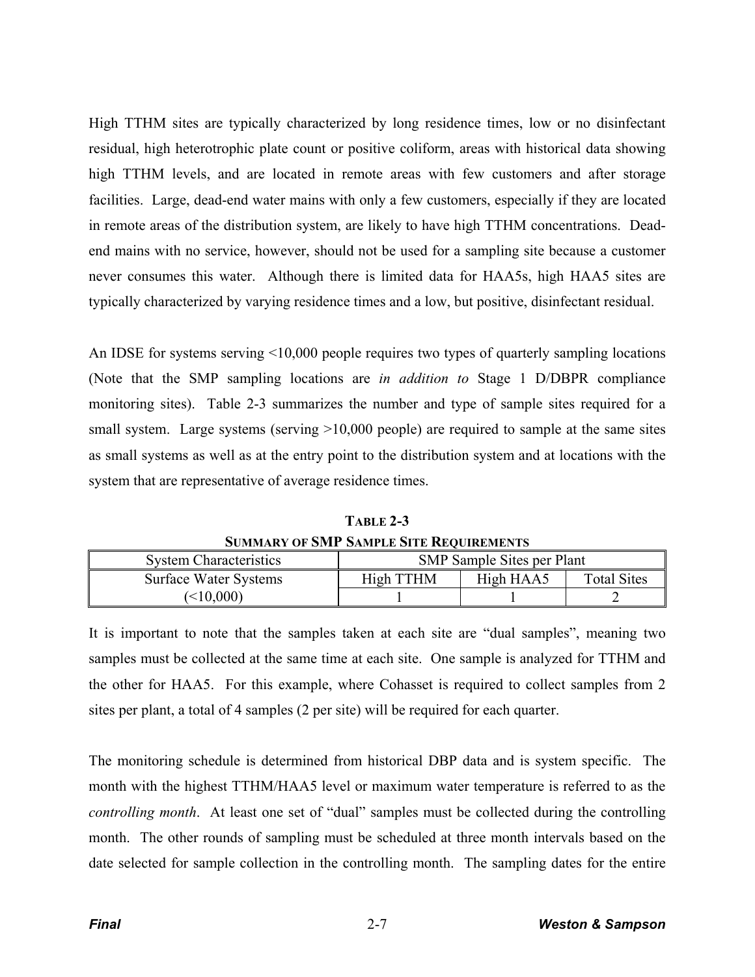High TTHM sites are typically characterized by long residence times, low or no disinfectant residual, high heterotrophic plate count or positive coliform, areas with historical data showing high TTHM levels, and are located in remote areas with few customers and after storage facilities. Large, dead-end water mains with only a few customers, especially if they are located in remote areas of the distribution system, are likely to have high TTHM concentrations. Deadend mains with no service, however, should not be used for a sampling site because a customer never consumes this water. Although there is limited data for HAA5s, high HAA5 sites are typically characterized by varying residence times and a low, but positive, disinfectant residual.

An IDSE for systems serving <10,000 people requires two types of quarterly sampling locations (Note that the SMP sampling locations are *in addition to* Stage 1 D/DBPR compliance monitoring sites). Table 2-3 summarizes the number and type of sample sites required for a small system. Large systems (serving  $>10,000$  people) are required to sample at the same sites as small systems as well as at the entry point to the distribution system and at locations with the system that are representative of average residence times.

**TABLE 2-3 SUMMARY OF SMP SAMPLE SITE REQUIREMENTS**

| <b>System Characteristics</b> | <b>SMP</b> Sample Sites per Plant |           |                    |
|-------------------------------|-----------------------------------|-----------|--------------------|
| <b>Surface Water Systems</b>  | High TTHM                         | High HAA5 | <b>Total Sites</b> |
| $\leq 10,000$                 |                                   |           |                    |

It is important to note that the samples taken at each site are "dual samples", meaning two samples must be collected at the same time at each site. One sample is analyzed for TTHM and the other for HAA5. For this example, where Cohasset is required to collect samples from 2 sites per plant, a total of 4 samples (2 per site) will be required for each quarter.

The monitoring schedule is determined from historical DBP data and is system specific. The month with the highest TTHM/HAA5 level or maximum water temperature is referred to as the *controlling month*. At least one set of "dual" samples must be collected during the controlling month. The other rounds of sampling must be scheduled at three month intervals based on the date selected for sample collection in the controlling month. The sampling dates for the entire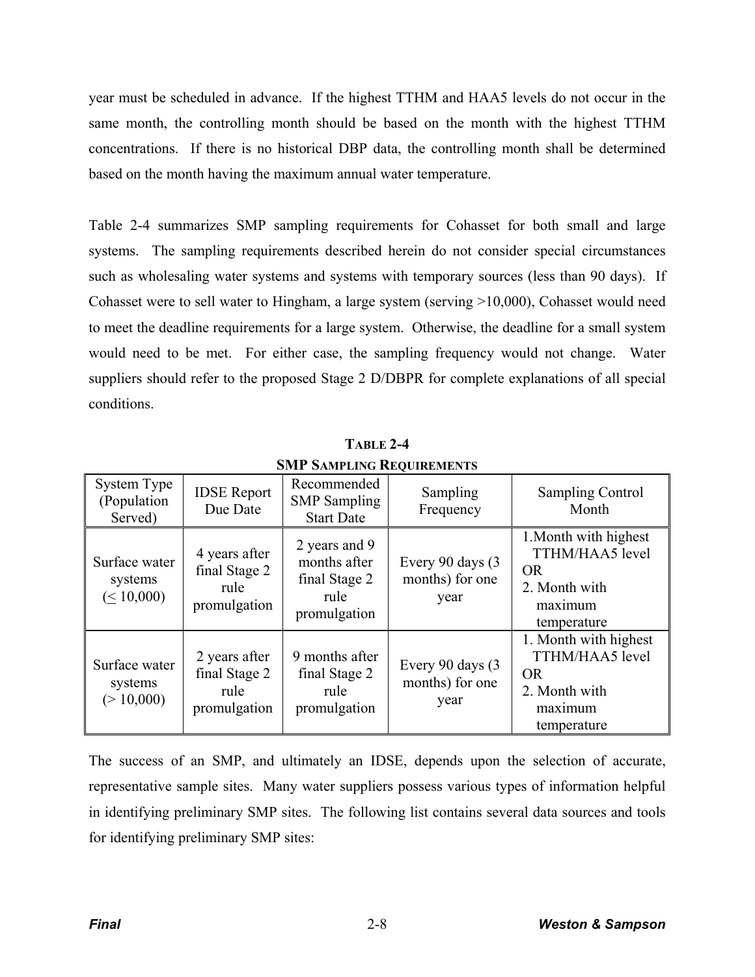year must be scheduled in advance. If the highest TTHM and HAA5 levels do not occur in the same month, the controlling month should be based on the month with the highest TTHM concentrations. If there is no historical DBP data, the controlling month shall be determined based on the month having the maximum annual water temperature.

Table 2-4 summarizes SMP sampling requirements for Cohasset for both small and large systems. The sampling requirements described herein do not consider special circumstances such as wholesaling water systems and systems with temporary sources (less than 90 days). If Cohasset were to sell water to Hingham, a large system (serving >10,000), Cohasset would need to meet the deadline requirements for a large system. Otherwise, the deadline for a small system would need to be met. For either case, the sampling frequency would not change. Water suppliers should refer to the proposed Stage 2 D/DBPR for complete explanations of all special conditions.

| DIMIT DAMIT LING INEQUINEMENTS               |                                                        |                                                                        |                                              |                                                                                                  |
|----------------------------------------------|--------------------------------------------------------|------------------------------------------------------------------------|----------------------------------------------|--------------------------------------------------------------------------------------------------|
| System Type<br>(Population<br>Served)        | <b>IDSE</b> Report<br>Due Date                         | Recommended<br><b>SMP</b> Sampling<br><b>Start Date</b>                | Sampling<br>Frequency                        | <b>Sampling Control</b><br>Month                                                                 |
| Surface water<br>systems<br>$( \leq 10,000)$ | 4 years after<br>final Stage 2<br>rule<br>promulgation | 2 years and 9<br>months after<br>final Stage 2<br>rule<br>promulgation | Every 90 days (3)<br>months) for one<br>year | 1. Month with highest<br>TTHM/HAA5 level<br><b>OR</b><br>2. Month with<br>maximum<br>temperature |
| Surface water<br>systems<br>(>10,000)        | 2 years after<br>final Stage 2<br>rule<br>promulgation | 9 months after<br>final Stage 2<br>rule<br>promulgation                | Every 90 days (3)<br>months) for one<br>year | 1. Month with highest<br>TTHM/HAA5 level<br><b>OR</b><br>2. Month with<br>maximum<br>temperature |

**TABLE 2-4 SMP SAMPLING REQUIREMENTS**

The success of an SMP, and ultimately an IDSE, depends upon the selection of accurate, representative sample sites. Many water suppliers possess various types of information helpful in identifying preliminary SMP sites. The following list contains several data sources and tools for identifying preliminary SMP sites: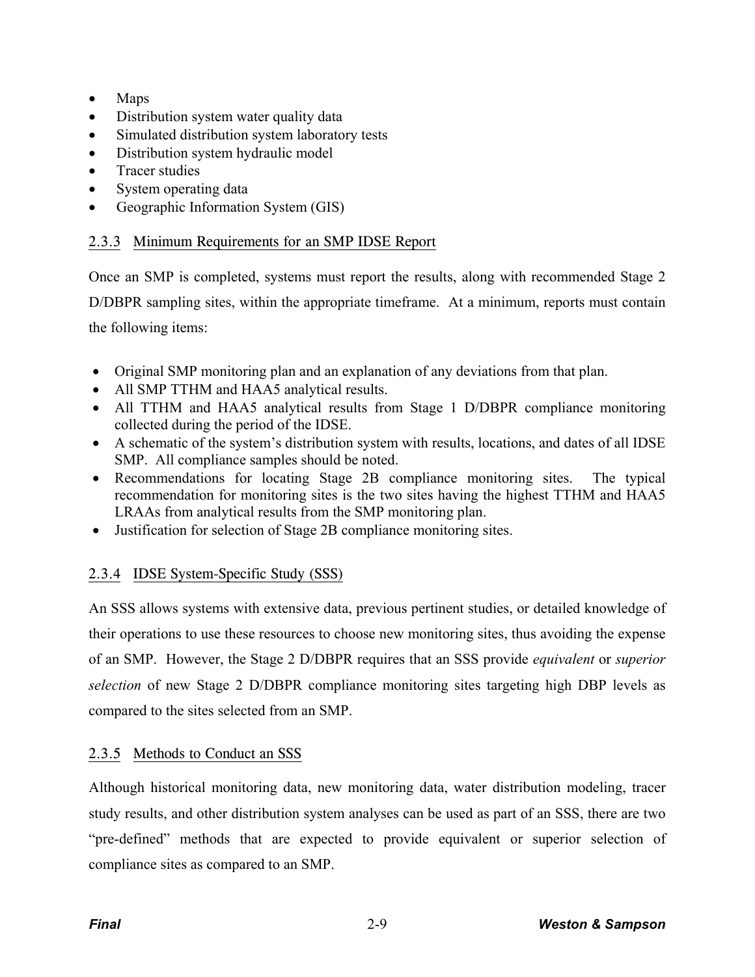- $\bullet$  Maps
- Distribution system water quality data
- Simulated distribution system laboratory tests
- Distribution system hydraulic model
- $\bullet$  Tracer studies
- System operating data
- Geographic Information System (GIS)

# 2.3.3 Minimum Requirements for an SMP IDSE Report

Once an SMP is completed, systems must report the results, along with recommended Stage 2 D/DBPR sampling sites, within the appropriate timeframe. At a minimum, reports must contain the following items:

- Original SMP monitoring plan and an explanation of any deviations from that plan.
- All SMP TTHM and HAA5 analytical results.
- All TTHM and HAA5 analytical results from Stage 1 D/DBPR compliance monitoring collected during the period of the IDSE.
- A schematic of the system's distribution system with results, locations, and dates of all IDSE SMP. All compliance samples should be noted.
- Recommendations for locating Stage 2B compliance monitoring sites. The typical recommendation for monitoring sites is the two sites having the highest TTHM and HAA5 LRAAs from analytical results from the SMP monitoring plan.
- Justification for selection of Stage 2B compliance monitoring sites.

# 2.3.4 IDSE System-Specific Study (SSS)

An SSS allows systems with extensive data, previous pertinent studies, or detailed knowledge of their operations to use these resources to choose new monitoring sites, thus avoiding the expense of an SMP. However, the Stage 2 D/DBPR requires that an SSS provide *equivalent* or *superior selection* of new Stage 2 D/DBPR compliance monitoring sites targeting high DBP levels as compared to the sites selected from an SMP.

# 2.3.5 Methods to Conduct an SSS

Although historical monitoring data, new monitoring data, water distribution modeling, tracer study results, and other distribution system analyses can be used as part of an SSS, there are two "pre-defined" methods that are expected to provide equivalent or superior selection of compliance sites as compared to an SMP.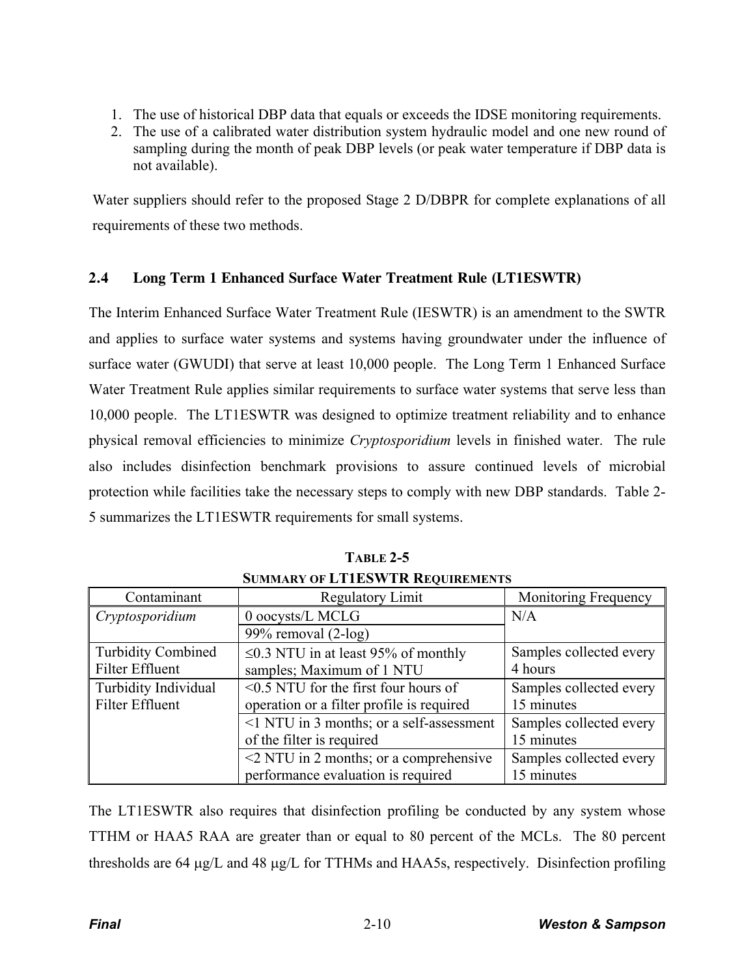- 1. The use of historical DBP data that equals or exceeds the IDSE monitoring requirements.
- 2. The use of a calibrated water distribution system hydraulic model and one new round of sampling during the month of peak DBP levels (or peak water temperature if DBP data is not available).

Water suppliers should refer to the proposed Stage 2 D/DBPR for complete explanations of all requirements of these two methods.

# **2.4 Long Term 1 Enhanced Surface Water Treatment Rule (LT1ESWTR)**

The Interim Enhanced Surface Water Treatment Rule (IESWTR) is an amendment to the SWTR and applies to surface water systems and systems having groundwater under the influence of surface water (GWUDI) that serve at least 10,000 people. The Long Term 1 Enhanced Surface Water Treatment Rule applies similar requirements to surface water systems that serve less than 10,000 people. The LT1ESWTR was designed to optimize treatment reliability and to enhance physical removal efficiencies to minimize *Cryptosporidium* levels in finished water. The rule also includes disinfection benchmark provisions to assure continued levels of microbial protection while facilities take the necessary steps to comply with new DBP standards. Table 2- 5 summarizes the LT1ESWTR requirements for small systems.

| Contaminant               | <b>Regulatory Limit</b>                      | Monitoring Frequency    |
|---------------------------|----------------------------------------------|-------------------------|
| Cryptosporidium           | 0 oocysts/L MCLG                             | N/A                     |
|                           | 99% removal $(2-log)$                        |                         |
| <b>Turbidity Combined</b> | $\leq$ 0.3 NTU in at least 95% of monthly    | Samples collected every |
| <b>Filter Effluent</b>    | samples; Maximum of 1 NTU                    | 4 hours                 |
| Turbidity Individual      | $\leq$ 0.5 NTU for the first four hours of   | Samples collected every |
| Filter Effluent           | operation or a filter profile is required    | 15 minutes              |
|                           | <1 NTU in 3 months; or a self-assessment     | Samples collected every |
|                           | of the filter is required                    | 15 minutes              |
|                           | $\leq$ 2 NTU in 2 months; or a comprehensive | Samples collected every |
|                           | performance evaluation is required           | 15 minutes              |

**TABLE 2-5 SUMMARY OF LT1ESWTR REQUIREMENTS**

The LT1ESWTR also requires that disinfection profiling be conducted by any system whose TTHM or HAA5 RAA are greater than or equal to 80 percent of the MCLs. The 80 percent thresholds are 64  $\mu$ g/L and 48  $\mu$ g/L for TTHMs and HAA5s, respectively. Disinfection profiling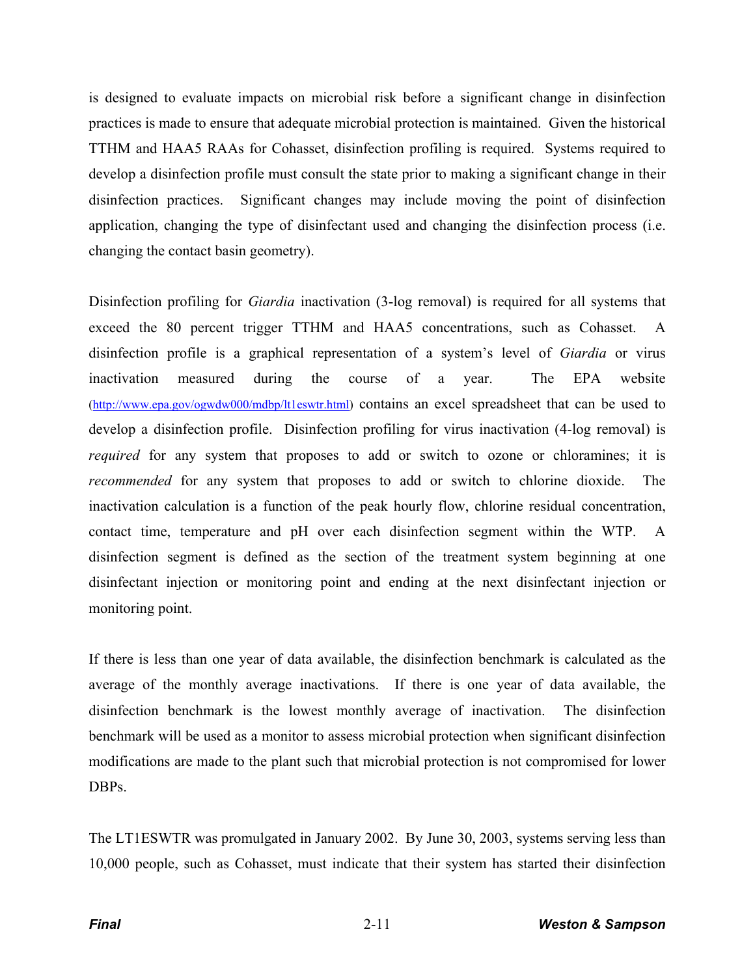is designed to evaluate impacts on microbial risk before a significant change in disinfection practices is made to ensure that adequate microbial protection is maintained. Given the historical TTHM and HAA5 RAAs for Cohasset, disinfection profiling is required. Systems required to develop a disinfection profile must consult the state prior to making a significant change in their disinfection practices. Significant changes may include moving the point of disinfection application, changing the type of disinfectant used and changing the disinfection process (i.e. changing the contact basin geometry).

Disinfection profiling for *Giardia* inactivation (3-log removal) is required for all systems that exceed the 80 percent trigger TTHM and HAA5 concentrations, such as Cohasset. A disinfection profile is a graphical representation of a system's level of *Giardia* or virus inactivation measured during the course of a year. The EPA website (http://www.epa.gov/ogwdw000/mdbp/lt1eswtr.html) contains an excel spreadsheet that can be used to develop a disinfection profile. Disinfection profiling for virus inactivation (4-log removal) is *required* for any system that proposes to add or switch to ozone or chloramines; it is *recommended* for any system that proposes to add or switch to chlorine dioxide. The inactivation calculation is a function of the peak hourly flow, chlorine residual concentration, contact time, temperature and pH over each disinfection segment within the WTP. A disinfection segment is defined as the section of the treatment system beginning at one disinfectant injection or monitoring point and ending at the next disinfectant injection or monitoring point.

If there is less than one year of data available, the disinfection benchmark is calculated as the average of the monthly average inactivations. If there is one year of data available, the disinfection benchmark is the lowest monthly average of inactivation. The disinfection benchmark will be used as a monitor to assess microbial protection when significant disinfection modifications are made to the plant such that microbial protection is not compromised for lower DBPs.

The LT1ESWTR was promulgated in January 2002. By June 30, 2003, systems serving less than 10,000 people, such as Cohasset, must indicate that their system has started their disinfection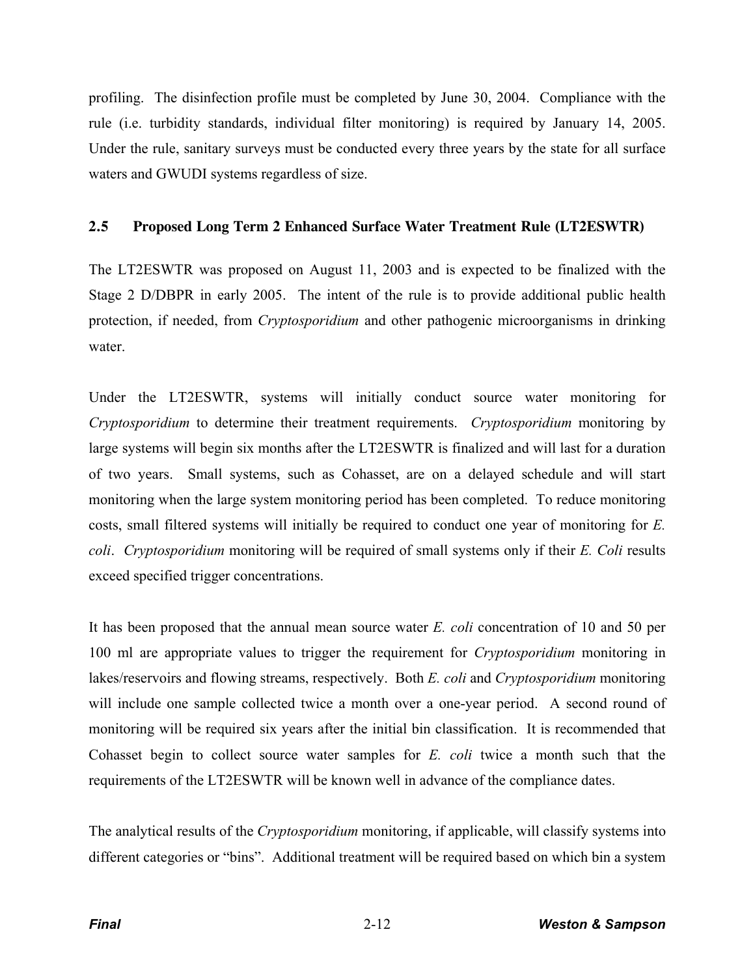profiling. The disinfection profile must be completed by June 30, 2004. Compliance with the rule (i.e. turbidity standards, individual filter monitoring) is required by January 14, 2005. Under the rule, sanitary surveys must be conducted every three years by the state for all surface waters and GWUDI systems regardless of size.

## **2.5 Proposed Long Term 2 Enhanced Surface Water Treatment Rule (LT2ESWTR)**

The LT2ESWTR was proposed on August 11, 2003 and is expected to be finalized with the Stage 2 D/DBPR in early 2005. The intent of the rule is to provide additional public health protection, if needed, from *Cryptosporidium* and other pathogenic microorganisms in drinking water.

Under the LT2ESWTR, systems will initially conduct source water monitoring for *Cryptosporidium* to determine their treatment requirements. *Cryptosporidium* monitoring by large systems will begin six months after the LT2ESWTR is finalized and will last for a duration of two years. Small systems, such as Cohasset, are on a delayed schedule and will start monitoring when the large system monitoring period has been completed. To reduce monitoring costs, small filtered systems will initially be required to conduct one year of monitoring for *E. coli*. *Cryptosporidium* monitoring will be required of small systems only if their *E. Coli* results exceed specified trigger concentrations.

It has been proposed that the annual mean source water *E. coli* concentration of 10 and 50 per 100 ml are appropriate values to trigger the requirement for *Cryptosporidium* monitoring in lakes/reservoirs and flowing streams, respectively. Both *E. coli* and *Cryptosporidium* monitoring will include one sample collected twice a month over a one-year period. A second round of monitoring will be required six years after the initial bin classification. It is recommended that Cohasset begin to collect source water samples for *E. coli* twice a month such that the requirements of the LT2ESWTR will be known well in advance of the compliance dates.

The analytical results of the *Cryptosporidium* monitoring, if applicable, will classify systems into different categories or "bins". Additional treatment will be required based on which bin a system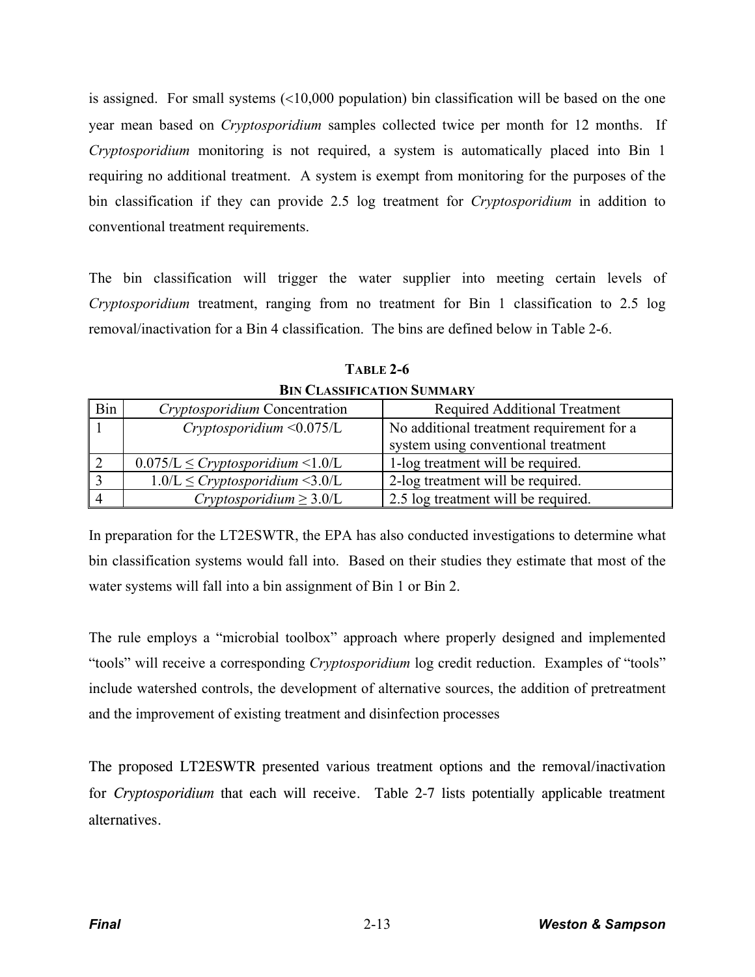is assigned. For small systems  $(10,000$  population) bin classification will be based on the one year mean based on *Cryptosporidium* samples collected twice per month for 12 months. If *Cryptosporidium* monitoring is not required, a system is automatically placed into Bin 1 requiring no additional treatment. A system is exempt from monitoring for the purposes of the bin classification if they can provide 2.5 log treatment for *Cryptosporidium* in addition to conventional treatment requirements.

The bin classification will trigger the water supplier into meeting certain levels of *Cryptosporidium* treatment, ranging from no treatment for Bin 1 classification to 2.5 log removal/inactivation for a Bin 4 classification. The bins are defined below in Table 2-6.

**TABLE 2-6 BIN CLASSIFICATION SUMMARY**

| Bin | Cryptosporidium Concentration             | <b>Required Additional Treatment</b>      |
|-----|-------------------------------------------|-------------------------------------------|
|     | Cryptosporidium < 0.075/L                 | No additional treatment requirement for a |
|     |                                           | system using conventional treatment       |
|     | $0.075/L \leq Cryptosporidium \leq 1.0/L$ | 1-log treatment will be required.         |
|     | $1.0/L \leq Cryptosporidium \leq 3.0/L$   | 2-log treatment will be required.         |
|     | $Cryptosporidium \geq 3.0/L$              | 2.5 log treatment will be required.       |

In preparation for the LT2ESWTR, the EPA has also conducted investigations to determine what bin classification systems would fall into. Based on their studies they estimate that most of the water systems will fall into a bin assignment of Bin 1 or Bin 2.

The rule employs a "microbial toolbox" approach where properly designed and implemented "tools" will receive a corresponding *Cryptosporidium* log credit reduction. Examples of "tools" include watershed controls, the development of alternative sources, the addition of pretreatment and the improvement of existing treatment and disinfection processes

The proposed LT2ESWTR presented various treatment options and the removal/inactivation for *Cryptosporidium* that each will receive. Table 2-7 lists potentially applicable treatment alternatives.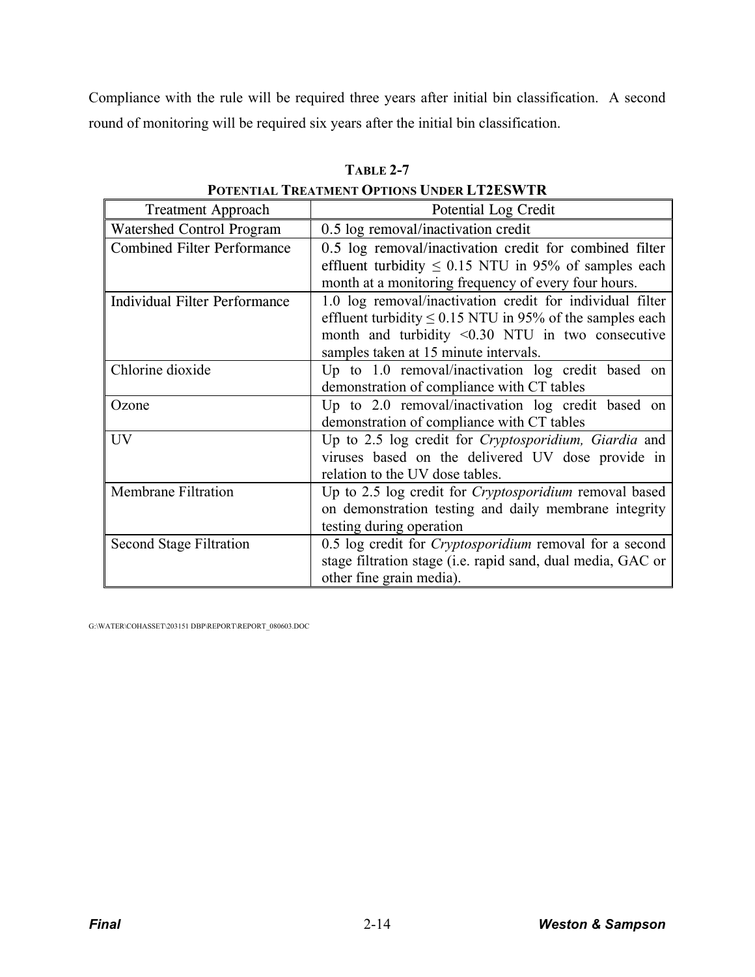Compliance with the rule will be required three years after initial bin classification. A second round of monitoring will be required six years after the initial bin classification.

| <b>Treatment Approach</b>            | Potential Log Credit                                                                                                                                                                                                          |  |  |
|--------------------------------------|-------------------------------------------------------------------------------------------------------------------------------------------------------------------------------------------------------------------------------|--|--|
| <b>Watershed Control Program</b>     | 0.5 log removal/inactivation credit                                                                                                                                                                                           |  |  |
| <b>Combined Filter Performance</b>   | 0.5 log removal/inactivation credit for combined filter<br>effluent turbidity $\leq 0.15$ NTU in 95% of samples each<br>month at a monitoring frequency of every four hours.                                                  |  |  |
| <b>Individual Filter Performance</b> | 1.0 log removal/inactivation credit for individual filter<br>effluent turbidity $\leq 0.15$ NTU in 95% of the samples each<br>month and turbidity $\leq 0.30$ NTU in two consecutive<br>samples taken at 15 minute intervals. |  |  |
| Chlorine dioxide                     | Up to 1.0 removal/inactivation log credit based on<br>demonstration of compliance with CT tables                                                                                                                              |  |  |
| Ozone                                | Up to 2.0 removal/inactivation log credit based on<br>demonstration of compliance with CT tables                                                                                                                              |  |  |
| UV                                   | Up to 2.5 log credit for Cryptosporidium, Giardia and<br>viruses based on the delivered UV dose provide in<br>relation to the UV dose tables.                                                                                 |  |  |
| <b>Membrane Filtration</b>           | Up to 2.5 log credit for Cryptosporidium removal based<br>on demonstration testing and daily membrane integrity<br>testing during operation                                                                                   |  |  |
| <b>Second Stage Filtration</b>       | 0.5 log credit for <i>Cryptosporidium</i> removal for a second<br>stage filtration stage (i.e. rapid sand, dual media, GAC or<br>other fine grain media).                                                                     |  |  |

**TABLE 2-7**

**POTENTIAL TREATMENT OPTIONS UNDER LT2ESWTR**

G:\WATER\COHASSET\203151 DBP\REPORT\REPORT\_080603.DOC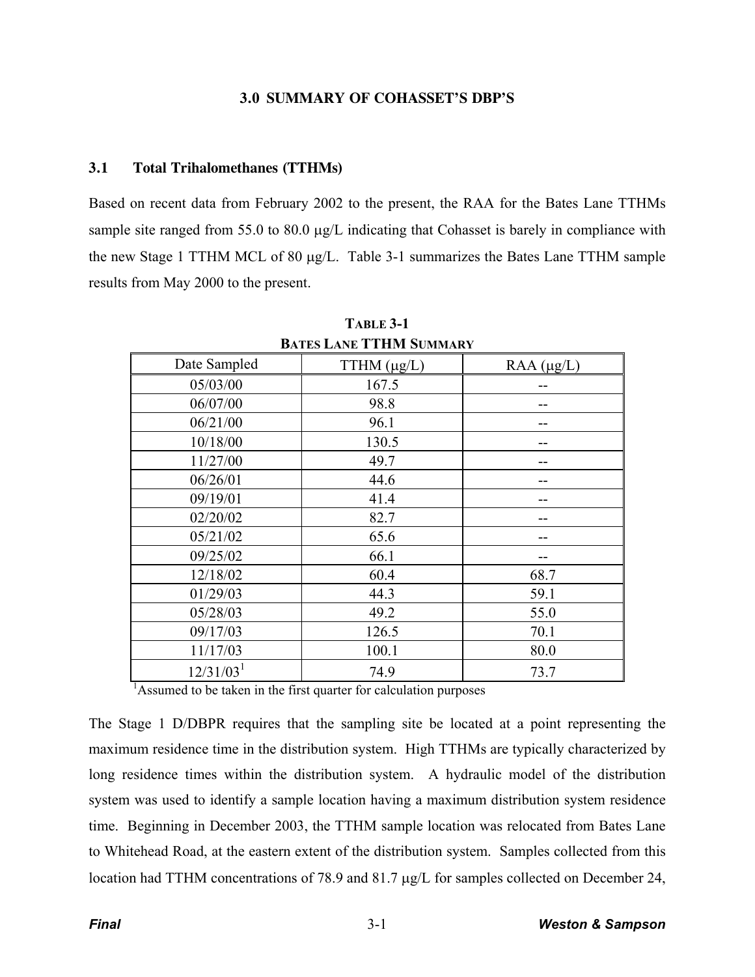### **3.0 SUMMARY OF COHASSET'S DBP'S**

#### **3.1 Total Trihalomethanes (TTHMs)**

Based on recent data from February 2002 to the present, the RAA for the Bates Lane TTHMs sample site ranged from 55.0 to 80.0  $\mu$ g/L indicating that Cohasset is barely in compliance with the new Stage 1 TTHM MCL of 80  $\mu$ g/L. Table 3-1 summarizes the Bates Lane TTHM sample results from May 2000 to the present.

| DATES LANE I I HIVI SUMMARY |                  |                 |  |  |
|-----------------------------|------------------|-----------------|--|--|
| Date Sampled                | TTHM $(\mu g/L)$ | $RAA (\mu g/L)$ |  |  |
| 05/03/00                    | 167.5            |                 |  |  |
| 06/07/00                    | 98.8             |                 |  |  |
| 06/21/00                    | 96.1             |                 |  |  |
| 10/18/00                    | 130.5            |                 |  |  |
| 11/27/00                    | 49.7             | --              |  |  |
| 06/26/01                    | 44.6             | --              |  |  |
| 09/19/01                    | 41.4             |                 |  |  |
| 02/20/02                    | 82.7             |                 |  |  |
| 05/21/02                    | 65.6             |                 |  |  |
| 09/25/02                    | 66.1             |                 |  |  |
| 12/18/02                    | 60.4             | 68.7            |  |  |
| 01/29/03                    | 44.3             | 59.1            |  |  |
| 05/28/03                    | 49.2             | 55.0            |  |  |
| 09/17/03                    | 126.5            | 70.1            |  |  |
| 11/17/03                    | 100.1            | 80.0            |  |  |
| 12/31/03 <sup>1</sup>       | 74.9             | 73.7            |  |  |

**TABLE 3-1 BATES LANE TTHM SUMMARY**

<sup>1</sup>Assumed to be taken in the first quarter for calculation purposes

The Stage 1 D/DBPR requires that the sampling site be located at a point representing the maximum residence time in the distribution system. High TTHMs are typically characterized by long residence times within the distribution system. A hydraulic model of the distribution system was used to identify a sample location having a maximum distribution system residence time. Beginning in December 2003, the TTHM sample location was relocated from Bates Lane to Whitehead Road, at the eastern extent of the distribution system. Samples collected from this location had TTHM concentrations of 78.9 and 81.7  $\mu$ g/L for samples collected on December 24,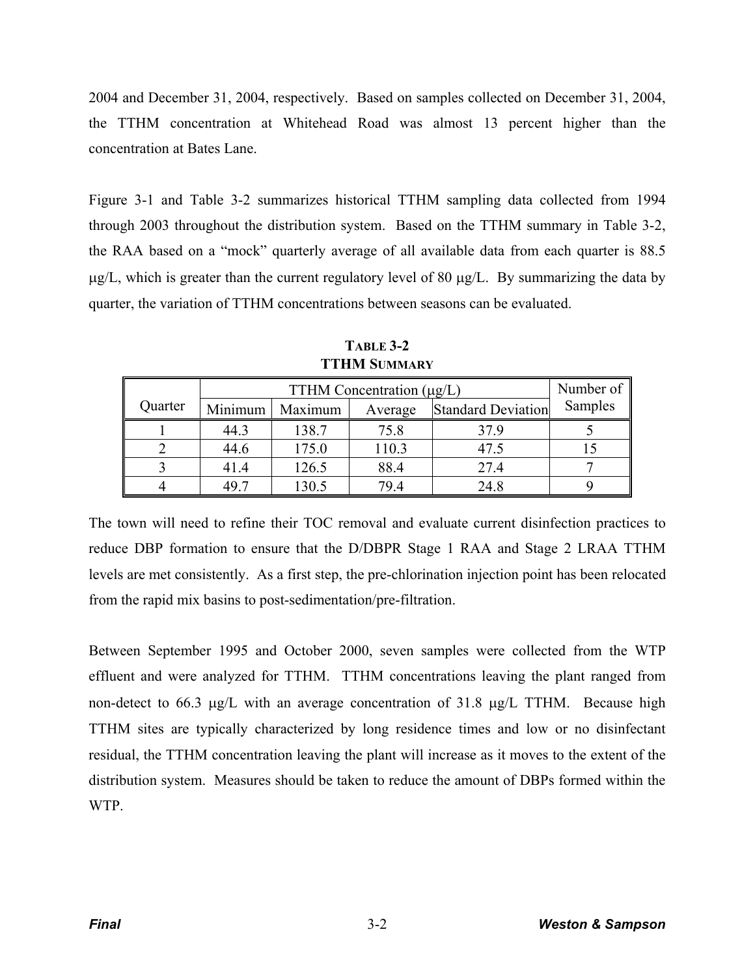2004 and December 31, 2004, respectively. Based on samples collected on December 31, 2004, the TTHM concentration at Whitehead Road was almost 13 percent higher than the concentration at Bates Lane.

Figure 3-1 and Table 3-2 summarizes historical TTHM sampling data collected from 1994 through 2003 throughout the distribution system. Based on the TTHM summary in Table 3-2, the RAA based on a "mock" quarterly average of all available data from each quarter is 88.5  $\mu$ g/L, which is greater than the current regulatory level of 80  $\mu$ g/L. By summarizing the data by quarter, the variation of TTHM concentrations between seasons can be evaluated.

|         | TTHM Concentration $(\mu g/L)$ |         |         |                           | Number of |
|---------|--------------------------------|---------|---------|---------------------------|-----------|
| Quarter | Minimum                        | Maximum | Average | <b>Standard Deviation</b> | Samples   |
|         | 44.3                           | 138.7   | 75.8    | 37.9                      |           |
|         | 44.6                           | 175.0   | 110.3   | 47.5                      |           |
|         | 41.4                           | 126.5   | 88.4    | 27.4                      |           |
|         | 49.7                           | 130.5   | 79.4    | 24.8                      |           |

**TABLE 3-2 TTHM SUMMARY**

The town will need to refine their TOC removal and evaluate current disinfection practices to reduce DBP formation to ensure that the D/DBPR Stage 1 RAA and Stage 2 LRAA TTHM levels are met consistently. As a first step, the pre-chlorination injection point has been relocated from the rapid mix basins to post-sedimentation/pre-filtration.

Between September 1995 and October 2000, seven samples were collected from the WTP effluent and were analyzed for TTHM. TTHM concentrations leaving the plant ranged from non-detect to 66.3  $\mu$ g/L with an average concentration of 31.8  $\mu$ g/L TTHM. Because high TTHM sites are typically characterized by long residence times and low or no disinfectant residual, the TTHM concentration leaving the plant will increase as it moves to the extent of the distribution system. Measures should be taken to reduce the amount of DBPs formed within the WTP.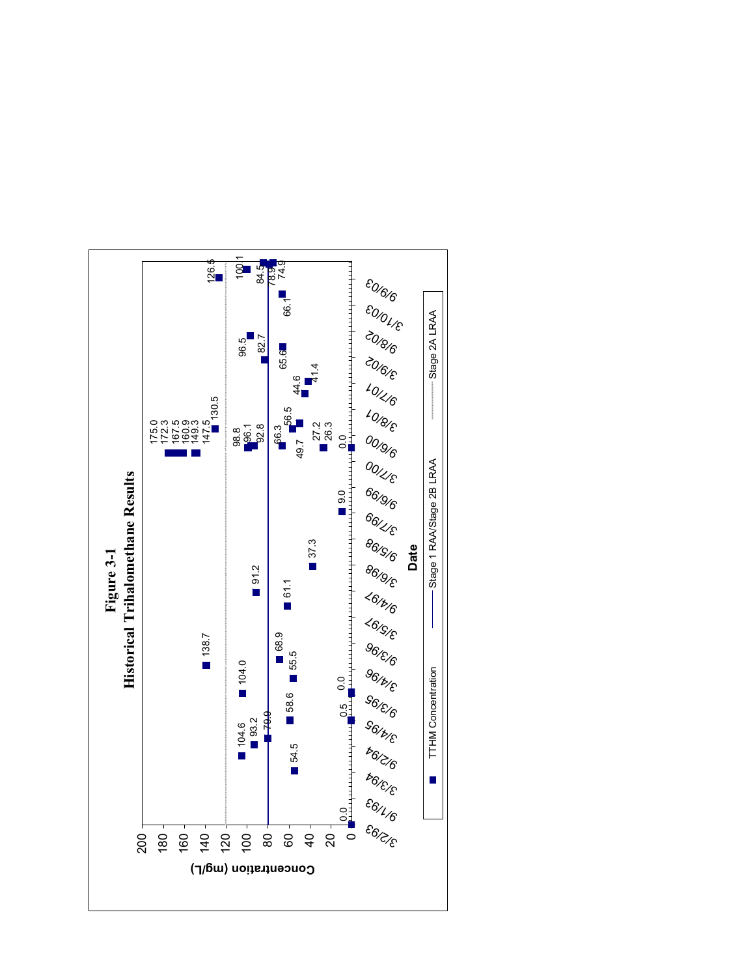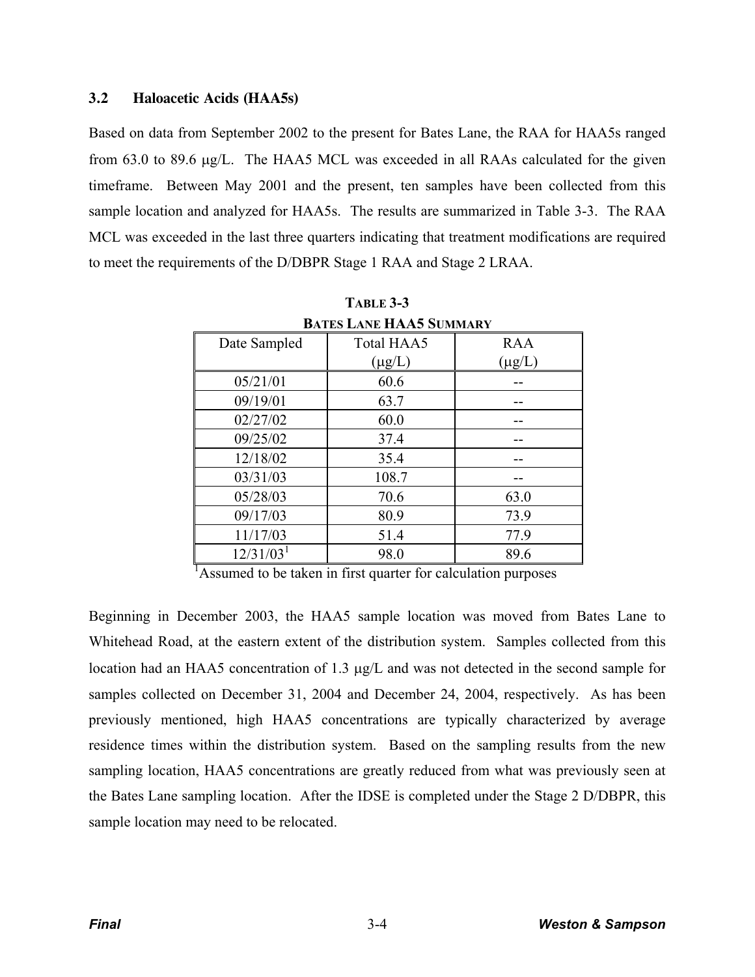## **3.2 Haloacetic Acids (HAA5s)**

Based on data from September 2002 to the present for Bates Lane, the RAA for HAA5s ranged from 63.0 to 89.6  $\mu$ g/L. The HAA5 MCL was exceeded in all RAAs calculated for the given timeframe. Between May 2001 and the present, ten samples have been collected from this sample location and analyzed for HAA5s. The results are summarized in Table 3-3. The RAA MCL was exceeded in the last three quarters indicating that treatment modifications are required to meet the requirements of the D/DBPR Stage 1 RAA and Stage 2 LRAA.

| <b>BATES LANE HAA5 SUMMARY</b> |             |             |  |  |
|--------------------------------|-------------|-------------|--|--|
| Date Sampled                   | Total HAA5  | <b>RAA</b>  |  |  |
|                                | $(\mu g/L)$ | $(\mu g/L)$ |  |  |
| 05/21/01                       | 60.6        |             |  |  |
| 09/19/01                       | 63.7        |             |  |  |
| 02/27/02                       | 60.0        |             |  |  |
| 09/25/02                       | 37.4        |             |  |  |
| 12/18/02                       | 35.4        |             |  |  |
| 03/31/03                       | 108.7       |             |  |  |
| 05/28/03                       | 70.6        | 63.0        |  |  |
| 09/17/03                       | 80.9        | 73.9        |  |  |
| 11/17/03                       | 51.4        | 77.9        |  |  |
| 12/31/03 <sup>1</sup>          | 98.0        | 89.6        |  |  |

**TABLE 3-3**

<sup>1</sup>Assumed to be taken in first quarter for calculation purposes

Beginning in December 2003, the HAA5 sample location was moved from Bates Lane to Whitehead Road, at the eastern extent of the distribution system. Samples collected from this location had an HAA5 concentration of 1.3  $\mu$ g/L and was not detected in the second sample for samples collected on December 31, 2004 and December 24, 2004, respectively. As has been previously mentioned, high HAA5 concentrations are typically characterized by average residence times within the distribution system. Based on the sampling results from the new sampling location, HAA5 concentrations are greatly reduced from what was previously seen at the Bates Lane sampling location. After the IDSE is completed under the Stage 2 D/DBPR, this sample location may need to be relocated.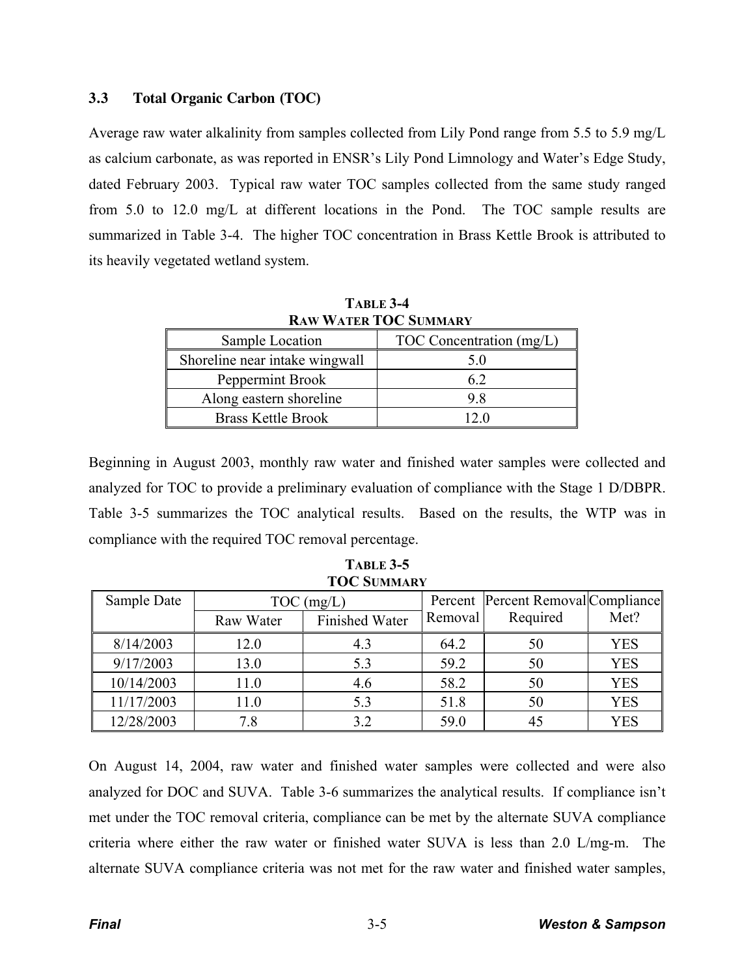# **3.3 Total Organic Carbon (TOC)**

Average raw water alkalinity from samples collected from Lily Pond range from 5.5 to 5.9 mg/L as calcium carbonate, as was reported in ENSR's Lily Pond Limnology and Water's Edge Study, dated February 2003. Typical raw water TOC samples collected from the same study ranged from 5.0 to 12.0 mg/L at different locations in the Pond. The TOC sample results are summarized in Table 3-4. The higher TOC concentration in Brass Kettle Brook is attributed to its heavily vegetated wetland system.

| <b>RAW WATER TOC SUMMARY</b>   |                          |  |  |
|--------------------------------|--------------------------|--|--|
| Sample Location                | TOC Concentration (mg/L) |  |  |
| Shoreline near intake wingwall | 5.0                      |  |  |
| Peppermint Brook               | 62                       |  |  |
| Along eastern shoreline        | 98                       |  |  |
| <b>Brass Kettle Brook</b>      | 12 O                     |  |  |

**TABLE 3-4**

Beginning in August 2003, monthly raw water and finished water samples were collected and analyzed for TOC to provide a preliminary evaluation of compliance with the Stage 1 D/DBPR. Table 3-5 summarizes the TOC analytical results. Based on the results, the WTP was in compliance with the required TOC removal percentage.

| TOC SUMMARY |              |                       |         |                                     |            |
|-------------|--------------|-----------------------|---------|-------------------------------------|------------|
| Sample Date | $TOC$ (mg/L) |                       |         | Percent  Percent Removal Compliance |            |
|             | Raw Water    | <b>Finished Water</b> | Removal | Required                            | Met?       |
| 8/14/2003   | 12.0         | 4.3                   | 64.2    | 50                                  | YES        |
| 9/17/2003   | 13.0         | 5.3                   | 59.2    | 50                                  | <b>YES</b> |
| 10/14/2003  | 11.0         | 4.6                   | 58.2    | 50                                  | <b>YES</b> |
| 11/17/2003  | 11.0         | 5.3                   | 51.8    | 50                                  | <b>YES</b> |
| 12/28/2003  | 7.8          | 3.2                   | 59.0    | 45                                  | <b>YES</b> |

**TABLE 3-5 TOC SUMMARY**

On August 14, 2004, raw water and finished water samples were collected and were also analyzed for DOC and SUVA. Table 3-6 summarizes the analytical results. If compliance isn't met under the TOC removal criteria, compliance can be met by the alternate SUVA compliance criteria where either the raw water or finished water SUVA is less than 2.0 L/mg-m. The alternate SUVA compliance criteria was not met for the raw water and finished water samples,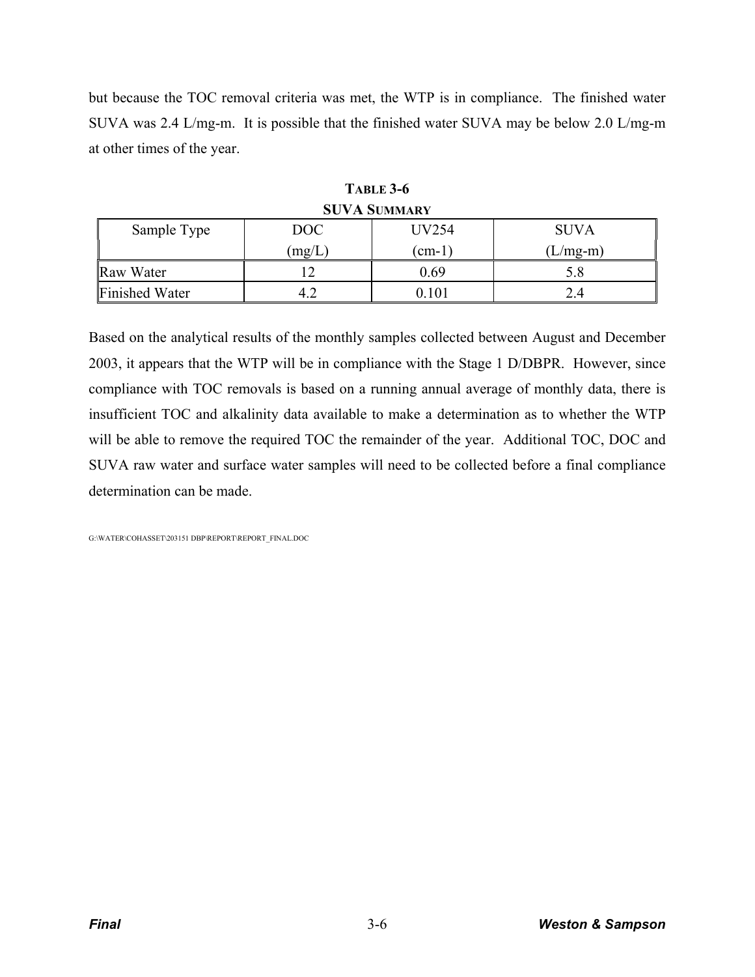but because the TOC removal criteria was met, the WTP is in compliance. The finished water SUVA was 2.4 L/mg-m. It is possible that the finished water SUVA may be below 2.0 L/mg-m at other times of the year.

| $50.11$ DUILIMART     |        |       |             |  |  |
|-----------------------|--------|-------|-------------|--|--|
| Sample Type           | DOC    | UV254 | <b>SUVA</b> |  |  |
|                       | (mg/L) | (cm-1 | (L/mg-m)    |  |  |
| Raw Water             |        | 0.69  | 5.8         |  |  |
| <b>Finished Water</b> |        | .101  |             |  |  |

**TABLE 3-6 SUVA SUMMARY**

Based on the analytical results of the monthly samples collected between August and December 2003, it appears that the WTP will be in compliance with the Stage 1 D/DBPR. However, since compliance with TOC removals is based on a running annual average of monthly data, there is insufficient TOC and alkalinity data available to make a determination as to whether the WTP will be able to remove the required TOC the remainder of the year. Additional TOC, DOC and SUVA raw water and surface water samples will need to be collected before a final compliance determination can be made.

G:\WATER\COHASSET\203151 DBP\REPORT\REPORT\_FINAL.DOC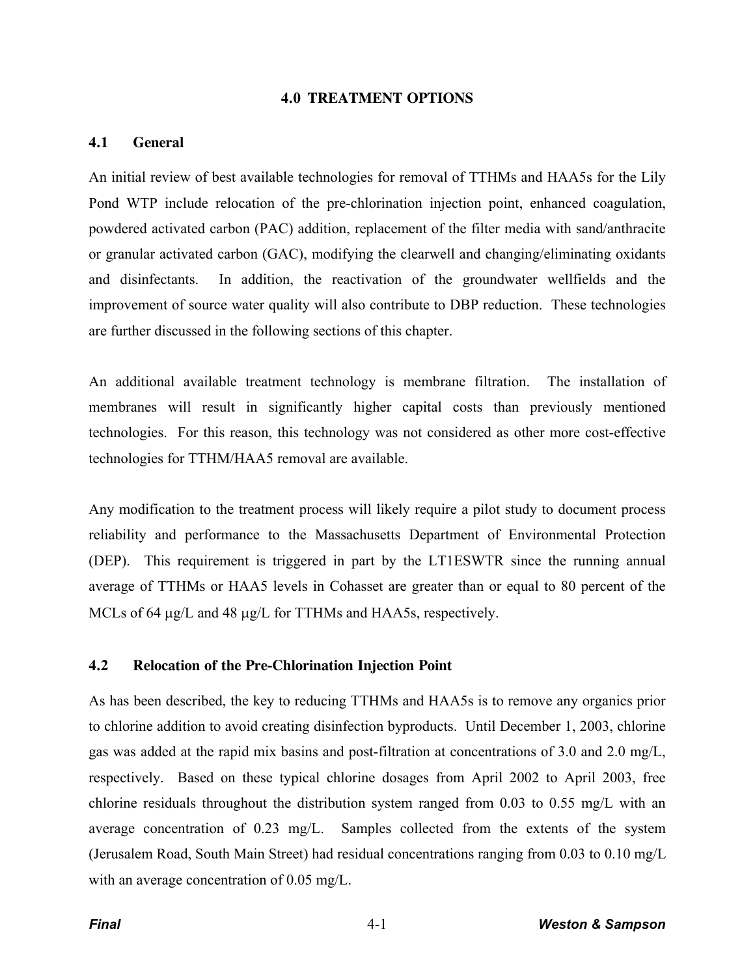#### **4.0 TREATMENT OPTIONS**

#### **4.1 General**

An initial review of best available technologies for removal of TTHMs and HAA5s for the Lily Pond WTP include relocation of the pre-chlorination injection point, enhanced coagulation, powdered activated carbon (PAC) addition, replacement of the filter media with sand/anthracite or granular activated carbon (GAC), modifying the clearwell and changing/eliminating oxidants and disinfectants. In addition, the reactivation of the groundwater wellfields and the improvement of source water quality will also contribute to DBP reduction. These technologies are further discussed in the following sections of this chapter.

An additional available treatment technology is membrane filtration. The installation of membranes will result in significantly higher capital costs than previously mentioned technologies. For this reason, this technology was not considered as other more cost-effective technologies for TTHM/HAA5 removal are available.

Any modification to the treatment process will likely require a pilot study to document process reliability and performance to the Massachusetts Department of Environmental Protection (DEP). This requirement is triggered in part by the LT1ESWTR since the running annual average of TTHMs or HAA5 levels in Cohasset are greater than or equal to 80 percent of the MCLs of 64  $\mu$ g/L and 48  $\mu$ g/L for TTHMs and HAA5s, respectively.

#### **4.2 Relocation of the Pre-Chlorination Injection Point**

As has been described, the key to reducing TTHMs and HAA5s is to remove any organics prior to chlorine addition to avoid creating disinfection byproducts. Until December 1, 2003, chlorine gas was added at the rapid mix basins and post-filtration at concentrations of 3.0 and 2.0 mg/L, respectively. Based on these typical chlorine dosages from April 2002 to April 2003, free chlorine residuals throughout the distribution system ranged from 0.03 to 0.55 mg/L with an average concentration of 0.23 mg/L. Samples collected from the extents of the system (Jerusalem Road, South Main Street) had residual concentrations ranging from 0.03 to 0.10 mg/L with an average concentration of 0.05 mg/L.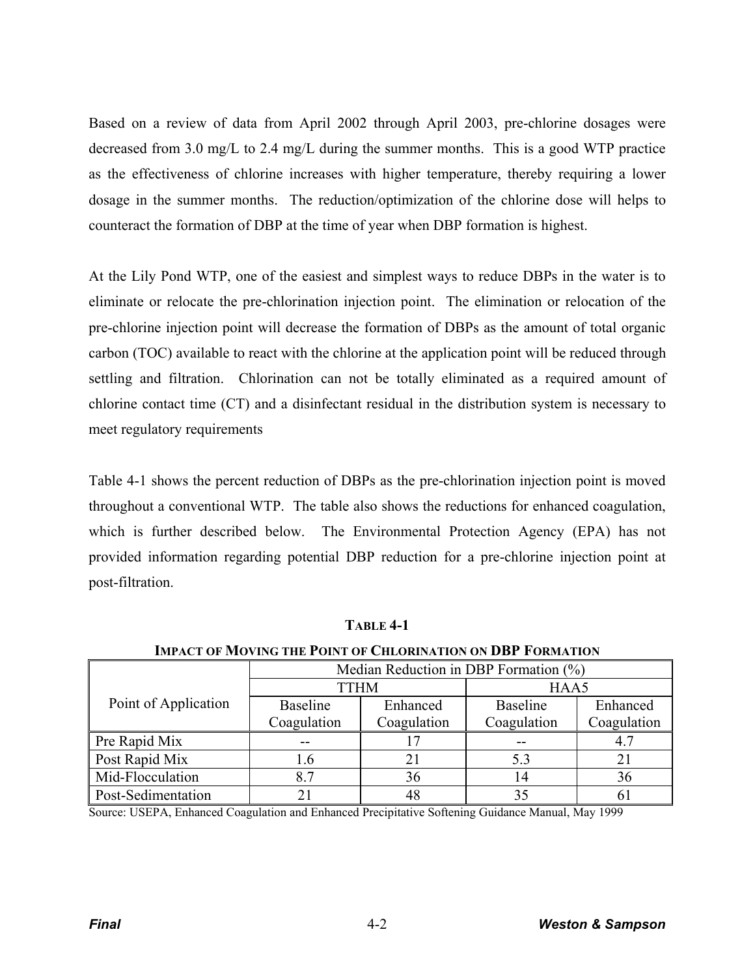Based on a review of data from April 2002 through April 2003, pre-chlorine dosages were decreased from 3.0 mg/L to 2.4 mg/L during the summer months. This is a good WTP practice as the effectiveness of chlorine increases with higher temperature, thereby requiring a lower dosage in the summer months. The reduction/optimization of the chlorine dose will helps to counteract the formation of DBP at the time of year when DBP formation is highest.

At the Lily Pond WTP, one of the easiest and simplest ways to reduce DBPs in the water is to eliminate or relocate the pre-chlorination injection point. The elimination or relocation of the pre-chlorine injection point will decrease the formation of DBPs as the amount of total organic carbon (TOC) available to react with the chlorine at the application point will be reduced through settling and filtration. Chlorination can not be totally eliminated as a required amount of chlorine contact time (CT) and a disinfectant residual in the distribution system is necessary to meet regulatory requirements

Table 4-1 shows the percent reduction of DBPs as the pre-chlorination injection point is moved throughout a conventional WTP. The table also shows the reductions for enhanced coagulation, which is further described below. The Environmental Protection Agency (EPA) has not provided information regarding potential DBP reduction for a pre-chlorine injection point at post-filtration.

| mine vi sloving me olit og enevnightør og bøl i onstrug |                                          |             |                 |             |  |
|---------------------------------------------------------|------------------------------------------|-------------|-----------------|-------------|--|
|                                                         | Median Reduction in DBP Formation $(\%)$ |             |                 |             |  |
|                                                         | <b>TTHM</b>                              |             | HAA5            |             |  |
| Point of Application                                    | <b>Baseline</b>                          | Enhanced    | <b>Baseline</b> | Enhanced    |  |
|                                                         | Coagulation                              | Coagulation | Coagulation     | Coagulation |  |
| Pre Rapid Mix                                           |                                          |             |                 | 4.7         |  |
| Post Rapid Mix                                          | l.6                                      | 21          | 5.3             | 21          |  |
| Mid-Flocculation                                        | 8.7                                      | 36          | 14              | 36          |  |
| Post-Sedimentation                                      |                                          | 48          | 35              | 6           |  |

**TABLE 4-1**

Source: USEPA, Enhanced Coagulation and Enhanced Precipitative Softening Guidance Manual, May 1999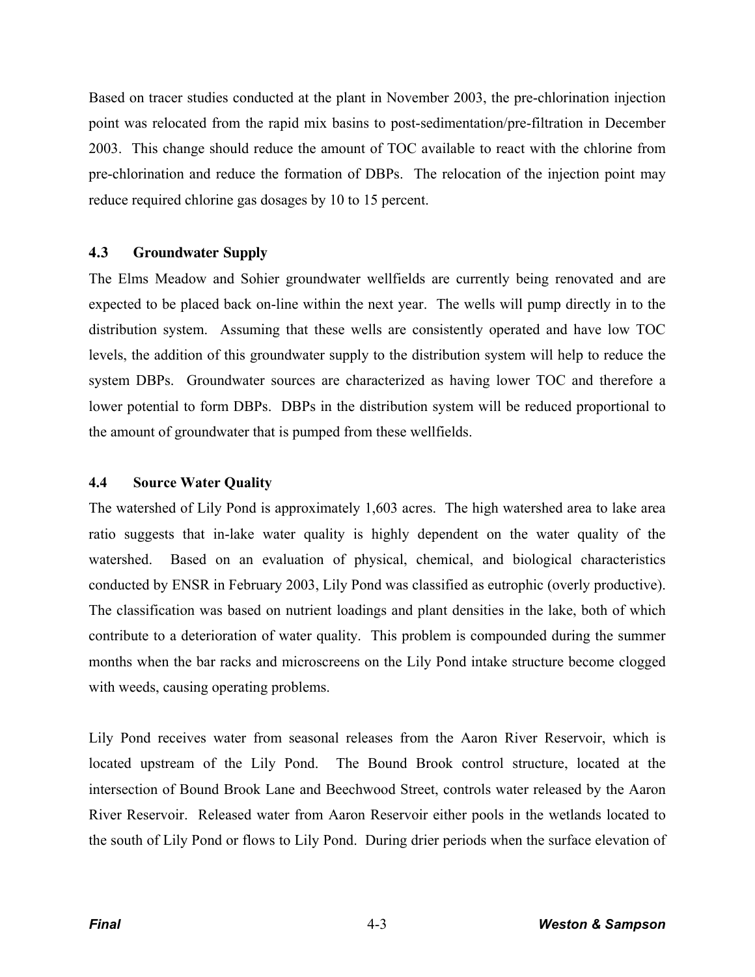Based on tracer studies conducted at the plant in November 2003, the pre-chlorination injection point was relocated from the rapid mix basins to post-sedimentation/pre-filtration in December 2003. This change should reduce the amount of TOC available to react with the chlorine from pre-chlorination and reduce the formation of DBPs. The relocation of the injection point may reduce required chlorine gas dosages by 10 to 15 percent.

### **4.3 Groundwater Supply**

The Elms Meadow and Sohier groundwater wellfields are currently being renovated and are expected to be placed back on-line within the next year. The wells will pump directly in to the distribution system. Assuming that these wells are consistently operated and have low TOC levels, the addition of this groundwater supply to the distribution system will help to reduce the system DBPs. Groundwater sources are characterized as having lower TOC and therefore a lower potential to form DBPs. DBPs in the distribution system will be reduced proportional to the amount of groundwater that is pumped from these wellfields.

#### **4.4 Source Water Quality**

The watershed of Lily Pond is approximately 1,603 acres. The high watershed area to lake area ratio suggests that in-lake water quality is highly dependent on the water quality of the watershed. Based on an evaluation of physical, chemical, and biological characteristics conducted by ENSR in February 2003, Lily Pond was classified as eutrophic (overly productive). The classification was based on nutrient loadings and plant densities in the lake, both of which contribute to a deterioration of water quality. This problem is compounded during the summer months when the bar racks and microscreens on the Lily Pond intake structure become clogged with weeds, causing operating problems.

Lily Pond receives water from seasonal releases from the Aaron River Reservoir, which is located upstream of the Lily Pond. The Bound Brook control structure, located at the intersection of Bound Brook Lane and Beechwood Street, controls water released by the Aaron River Reservoir. Released water from Aaron Reservoir either pools in the wetlands located to the south of Lily Pond or flows to Lily Pond. During drier periods when the surface elevation of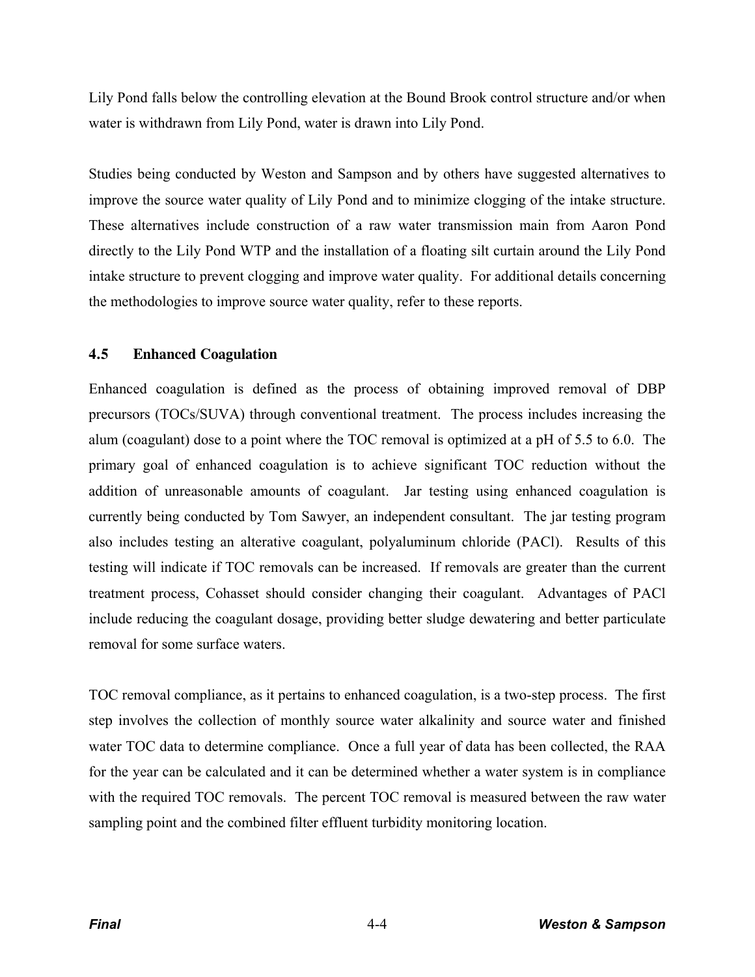Lily Pond falls below the controlling elevation at the Bound Brook control structure and/or when water is withdrawn from Lily Pond, water is drawn into Lily Pond.

Studies being conducted by Weston and Sampson and by others have suggested alternatives to improve the source water quality of Lily Pond and to minimize clogging of the intake structure. These alternatives include construction of a raw water transmission main from Aaron Pond directly to the Lily Pond WTP and the installation of a floating silt curtain around the Lily Pond intake structure to prevent clogging and improve water quality. For additional details concerning the methodologies to improve source water quality, refer to these reports.

# **4.5 Enhanced Coagulation**

Enhanced coagulation is defined as the process of obtaining improved removal of DBP precursors (TOCs/SUVA) through conventional treatment. The process includes increasing the alum (coagulant) dose to a point where the TOC removal is optimized at a pH of 5.5 to 6.0. The primary goal of enhanced coagulation is to achieve significant TOC reduction without the addition of unreasonable amounts of coagulant. Jar testing using enhanced coagulation is currently being conducted by Tom Sawyer, an independent consultant. The jar testing program also includes testing an alterative coagulant, polyaluminum chloride (PACl). Results of this testing will indicate if TOC removals can be increased. If removals are greater than the current treatment process, Cohasset should consider changing their coagulant. Advantages of PACl include reducing the coagulant dosage, providing better sludge dewatering and better particulate removal for some surface waters.

TOC removal compliance, as it pertains to enhanced coagulation, is a two-step process. The first step involves the collection of monthly source water alkalinity and source water and finished water TOC data to determine compliance. Once a full year of data has been collected, the RAA for the year can be calculated and it can be determined whether a water system is in compliance with the required TOC removals. The percent TOC removal is measured between the raw water sampling point and the combined filter effluent turbidity monitoring location.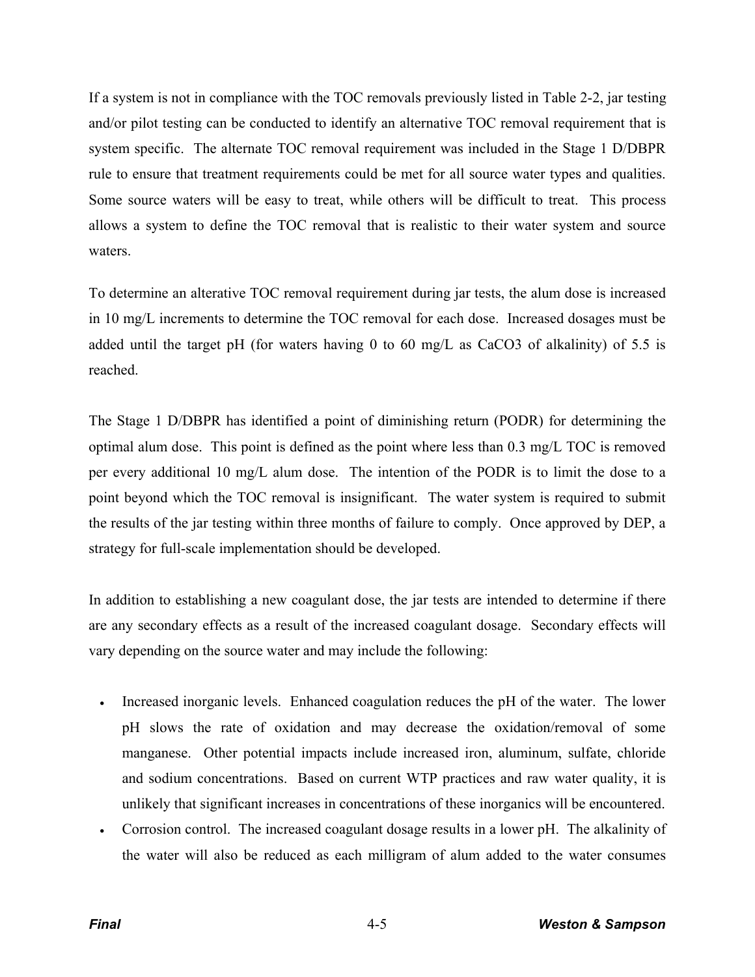If a system is not in compliance with the TOC removals previously listed in Table 2-2, jar testing and/or pilot testing can be conducted to identify an alternative TOC removal requirement that is system specific. The alternate TOC removal requirement was included in the Stage 1 D/DBPR rule to ensure that treatment requirements could be met for all source water types and qualities. Some source waters will be easy to treat, while others will be difficult to treat. This process allows a system to define the TOC removal that is realistic to their water system and source waters.

To determine an alterative TOC removal requirement during jar tests, the alum dose is increased in 10 mg/L increments to determine the TOC removal for each dose. Increased dosages must be added until the target pH (for waters having 0 to 60 mg/L as CaCO3 of alkalinity) of 5.5 is reached.

The Stage 1 D/DBPR has identified a point of diminishing return (PODR) for determining the optimal alum dose. This point is defined as the point where less than 0.3 mg/L TOC is removed per every additional 10 mg/L alum dose. The intention of the PODR is to limit the dose to a point beyond which the TOC removal is insignificant. The water system is required to submit the results of the jar testing within three months of failure to comply. Once approved by DEP, a strategy for full-scale implementation should be developed.

In addition to establishing a new coagulant dose, the jar tests are intended to determine if there are any secondary effects as a result of the increased coagulant dosage. Secondary effects will vary depending on the source water and may include the following:

- Increased inorganic levels. Enhanced coagulation reduces the pH of the water. The lower pH slows the rate of oxidation and may decrease the oxidation/removal of some manganese. Other potential impacts include increased iron, aluminum, sulfate, chloride and sodium concentrations. Based on current WTP practices and raw water quality, it is unlikely that significant increases in concentrations of these inorganics will be encountered.
- x Corrosion control. The increased coagulant dosage results in a lower pH. The alkalinity of the water will also be reduced as each milligram of alum added to the water consumes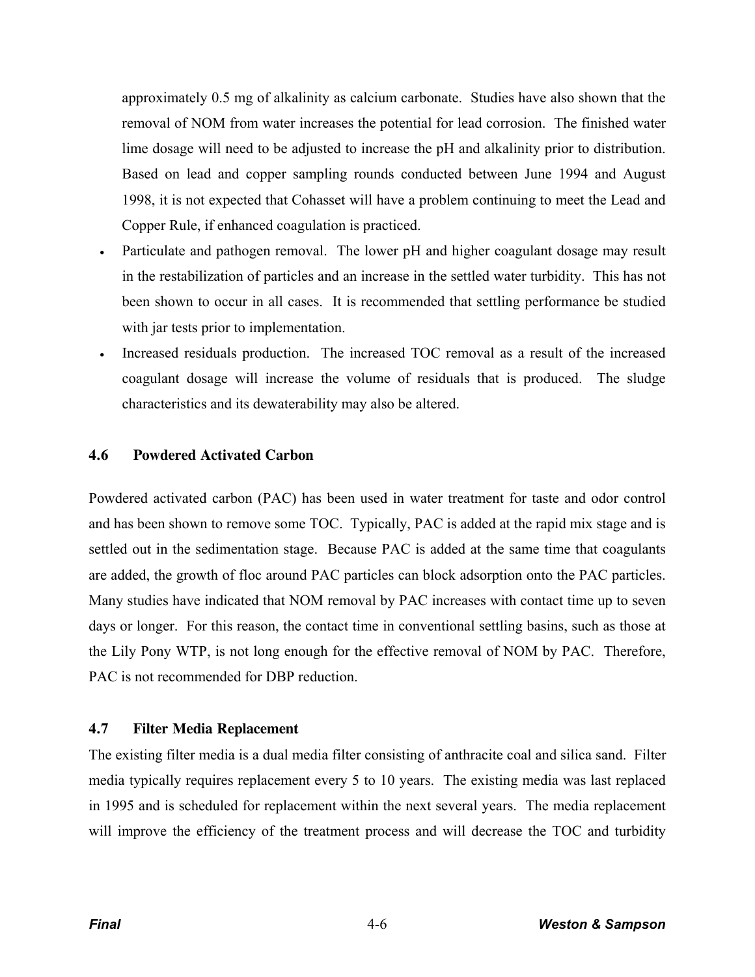approximately 0.5 mg of alkalinity as calcium carbonate. Studies have also shown that the removal of NOM from water increases the potential for lead corrosion. The finished water lime dosage will need to be adjusted to increase the pH and alkalinity prior to distribution. Based on lead and copper sampling rounds conducted between June 1994 and August 1998, it is not expected that Cohasset will have a problem continuing to meet the Lead and Copper Rule, if enhanced coagulation is practiced.

- Particulate and pathogen removal. The lower pH and higher coagulant dosage may result in the restabilization of particles and an increase in the settled water turbidity. This has not been shown to occur in all cases. It is recommended that settling performance be studied with jar tests prior to implementation.
- Increased residuals production. The increased TOC removal as a result of the increased coagulant dosage will increase the volume of residuals that is produced. The sludge characteristics and its dewaterability may also be altered.

### **4.6 Powdered Activated Carbon**

Powdered activated carbon (PAC) has been used in water treatment for taste and odor control and has been shown to remove some TOC. Typically, PAC is added at the rapid mix stage and is settled out in the sedimentation stage. Because PAC is added at the same time that coagulants are added, the growth of floc around PAC particles can block adsorption onto the PAC particles. Many studies have indicated that NOM removal by PAC increases with contact time up to seven days or longer. For this reason, the contact time in conventional settling basins, such as those at the Lily Pony WTP, is not long enough for the effective removal of NOM by PAC. Therefore, PAC is not recommended for DBP reduction.

#### **4.7 Filter Media Replacement**

The existing filter media is a dual media filter consisting of anthracite coal and silica sand. Filter media typically requires replacement every 5 to 10 years. The existing media was last replaced in 1995 and is scheduled for replacement within the next several years. The media replacement will improve the efficiency of the treatment process and will decrease the TOC and turbidity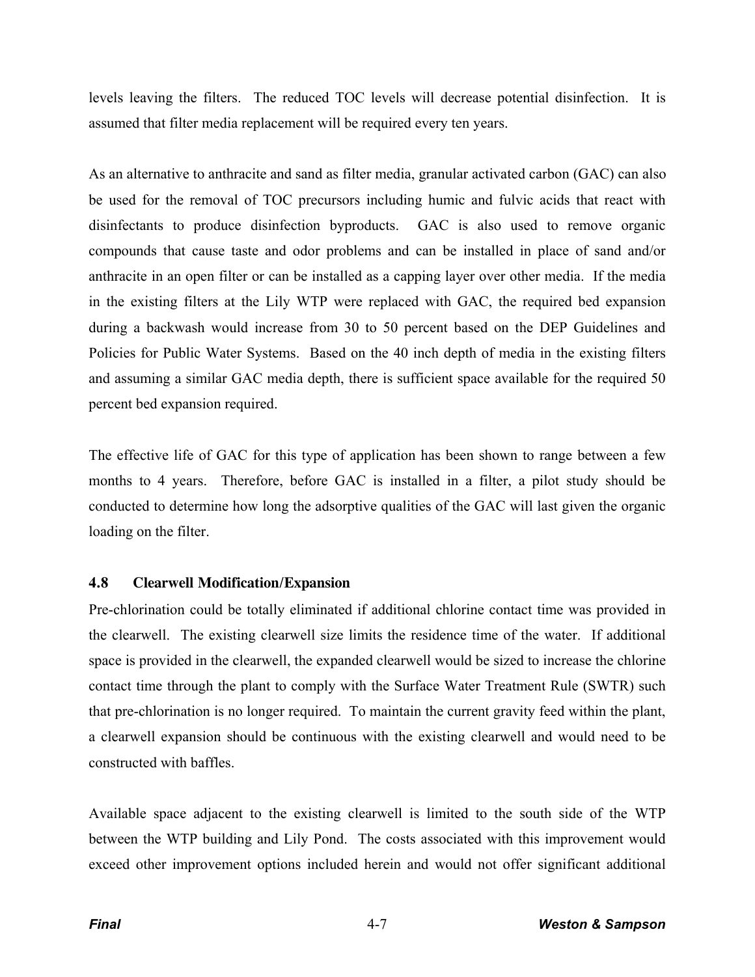levels leaving the filters. The reduced TOC levels will decrease potential disinfection. It is assumed that filter media replacement will be required every ten years.

As an alternative to anthracite and sand as filter media, granular activated carbon (GAC) can also be used for the removal of TOC precursors including humic and fulvic acids that react with disinfectants to produce disinfection byproducts. GAC is also used to remove organic compounds that cause taste and odor problems and can be installed in place of sand and/or anthracite in an open filter or can be installed as a capping layer over other media. If the media in the existing filters at the Lily WTP were replaced with GAC, the required bed expansion during a backwash would increase from 30 to 50 percent based on the DEP Guidelines and Policies for Public Water Systems. Based on the 40 inch depth of media in the existing filters and assuming a similar GAC media depth, there is sufficient space available for the required 50 percent bed expansion required.

The effective life of GAC for this type of application has been shown to range between a few months to 4 years. Therefore, before GAC is installed in a filter, a pilot study should be conducted to determine how long the adsorptive qualities of the GAC will last given the organic loading on the filter.

# **4.8 Clearwell Modification/Expansion**

Pre-chlorination could be totally eliminated if additional chlorine contact time was provided in the clearwell. The existing clearwell size limits the residence time of the water. If additional space is provided in the clearwell, the expanded clearwell would be sized to increase the chlorine contact time through the plant to comply with the Surface Water Treatment Rule (SWTR) such that pre-chlorination is no longer required. To maintain the current gravity feed within the plant, a clearwell expansion should be continuous with the existing clearwell and would need to be constructed with baffles.

Available space adjacent to the existing clearwell is limited to the south side of the WTP between the WTP building and Lily Pond. The costs associated with this improvement would exceed other improvement options included herein and would not offer significant additional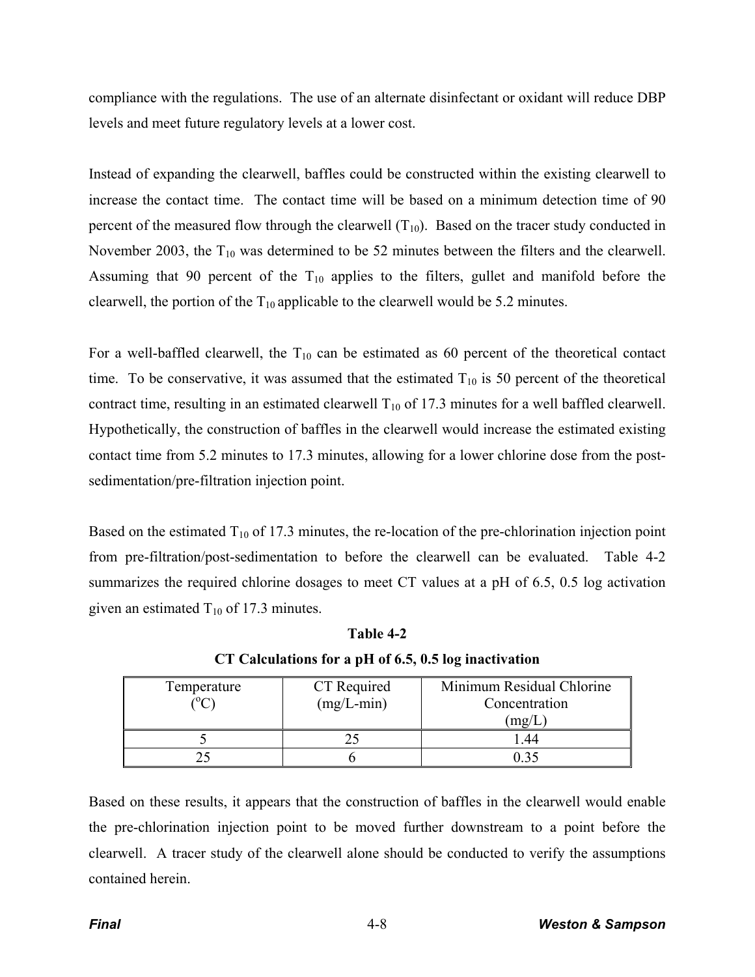compliance with the regulations. The use of an alternate disinfectant or oxidant will reduce DBP levels and meet future regulatory levels at a lower cost.

Instead of expanding the clearwell, baffles could be constructed within the existing clearwell to increase the contact time. The contact time will be based on a minimum detection time of 90 percent of the measured flow through the clearwell  $(T_{10})$ . Based on the tracer study conducted in November 2003, the  $T_{10}$  was determined to be 52 minutes between the filters and the clearwell. Assuming that 90 percent of the  $T_{10}$  applies to the filters, gullet and manifold before the clearwell, the portion of the  $T_{10}$  applicable to the clearwell would be 5.2 minutes.

For a well-baffled clearwell, the  $T_{10}$  can be estimated as 60 percent of the theoretical contact time. To be conservative, it was assumed that the estimated  $T_{10}$  is 50 percent of the theoretical contract time, resulting in an estimated clearwell  $T_{10}$  of 17.3 minutes for a well baffled clearwell. Hypothetically, the construction of baffles in the clearwell would increase the estimated existing contact time from 5.2 minutes to 17.3 minutes, allowing for a lower chlorine dose from the postsedimentation/pre-filtration injection point.

Based on the estimated  $T_{10}$  of 17.3 minutes, the re-location of the pre-chlorination injection point from pre-filtration/post-sedimentation to before the clearwell can be evaluated. Table 4-2 summarizes the required chlorine dosages to meet CT values at a pH of 6.5, 0.5 log activation given an estimated  $T_{10}$  of 17.3 minutes.

| Temperature | CT Required<br>$(mg/L-min)$ | Minimum Residual Chlorine<br>Concentration<br>$\mu$ mg/L |  |
|-------------|-----------------------------|----------------------------------------------------------|--|
|             |                             |                                                          |  |
|             |                             |                                                          |  |

**Table 4-2 CT Calculations for a pH of 6.5, 0.5 log inactivation** 

Based on these results, it appears that the construction of baffles in the clearwell would enable the pre-chlorination injection point to be moved further downstream to a point before the clearwell. A tracer study of the clearwell alone should be conducted to verify the assumptions contained herein.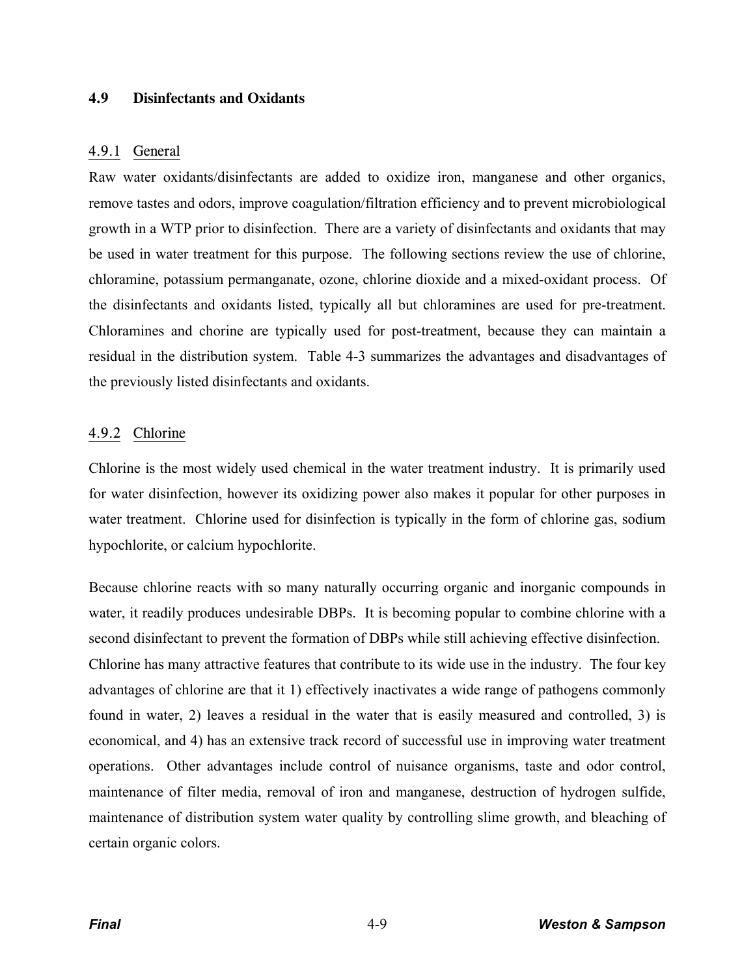## **4.9 Disinfectants and Oxidants**

### 4.9.1 General

Raw water oxidants/disinfectants are added to oxidize iron, manganese and other organics, remove tastes and odors, improve coagulation/filtration efficiency and to prevent microbiological growth in a WTP prior to disinfection. There are a variety of disinfectants and oxidants that may be used in water treatment for this purpose. The following sections review the use of chlorine, chloramine, potassium permanganate, ozone, chlorine dioxide and a mixed-oxidant process. Of the disinfectants and oxidants listed, typically all but chloramines are used for pre-treatment. Chloramines and chorine are typically used for post-treatment, because they can maintain a residual in the distribution system. Table 4-3 summarizes the advantages and disadvantages of the previously listed disinfectants and oxidants.

# 4.9.2 Chlorine

Chlorine is the most widely used chemical in the water treatment industry. It is primarily used for water disinfection, however its oxidizing power also makes it popular for other purposes in water treatment. Chlorine used for disinfection is typically in the form of chlorine gas, sodium hypochlorite, or calcium hypochlorite.

Because chlorine reacts with so many naturally occurring organic and inorganic compounds in water, it readily produces undesirable DBPs. It is becoming popular to combine chlorine with a second disinfectant to prevent the formation of DBPs while still achieving effective disinfection. Chlorine has many attractive features that contribute to its wide use in the industry. The four key advantages of chlorine are that it 1) effectively inactivates a wide range of pathogens commonly found in water, 2) leaves a residual in the water that is easily measured and controlled, 3) is economical, and 4) has an extensive track record of successful use in improving water treatment operations. Other advantages include control of nuisance organisms, taste and odor control, maintenance of filter media, removal of iron and manganese, destruction of hydrogen sulfide, maintenance of distribution system water quality by controlling slime growth, and bleaching of certain organic colors.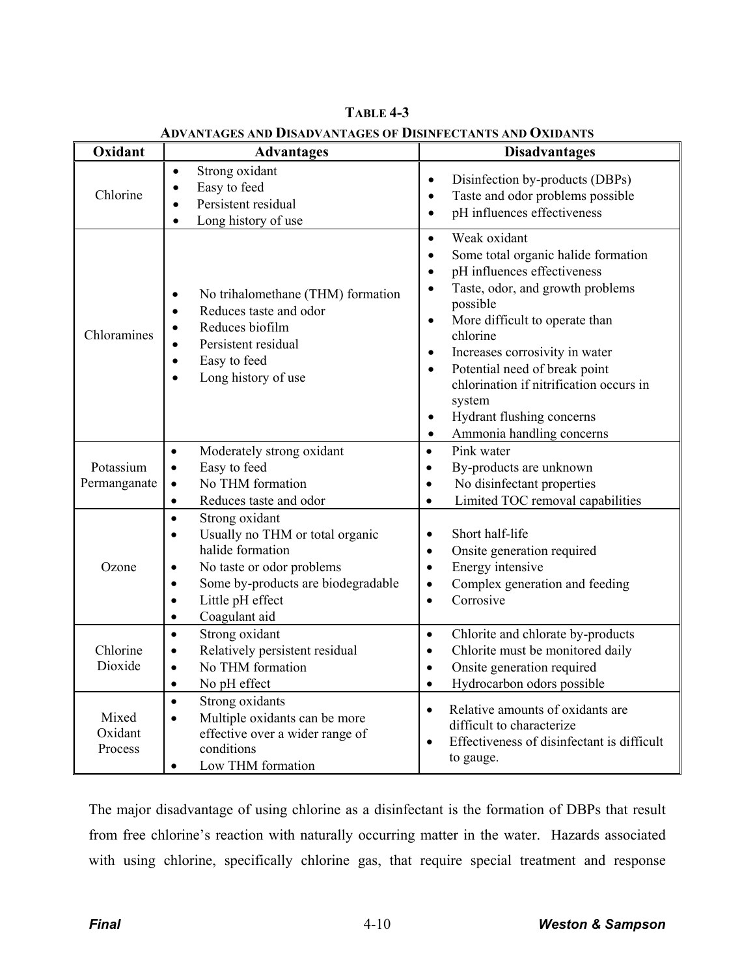| Oxidant                     | <b>Advantages</b>                                                                                                                                                                                                                                           | VANTAGES AND DISADVANTAGES OF DISINFECTANTS AND OXIDANTS<br><b>Disadvantages</b>                                                                                                                                                                                                                                                                                                                                                                                                        |  |  |
|-----------------------------|-------------------------------------------------------------------------------------------------------------------------------------------------------------------------------------------------------------------------------------------------------------|-----------------------------------------------------------------------------------------------------------------------------------------------------------------------------------------------------------------------------------------------------------------------------------------------------------------------------------------------------------------------------------------------------------------------------------------------------------------------------------------|--|--|
| Chlorine                    | Strong oxidant<br>$\bullet$<br>Easy to feed<br>$\bullet$<br>Persistent residual<br>Long history of use<br>$\bullet$                                                                                                                                         | Disinfection by-products (DBPs)<br>$\bullet$<br>Taste and odor problems possible<br>$\bullet$<br>pH influences effectiveness<br>$\bullet$                                                                                                                                                                                                                                                                                                                                               |  |  |
| Chloramines                 | No trihalomethane (THM) formation<br>$\bullet$<br>Reduces taste and odor<br>$\bullet$<br>Reduces biofilm<br>Persistent residual<br>$\bullet$<br>Easy to feed<br>$\bullet$<br>Long history of use                                                            | Weak oxidant<br>$\bullet$<br>Some total organic halide formation<br>$\bullet$<br>pH influences effectiveness<br>$\bullet$<br>Taste, odor, and growth problems<br>$\bullet$<br>possible<br>More difficult to operate than<br>$\bullet$<br>chlorine<br>Increases corrosivity in water<br>$\bullet$<br>Potential need of break point<br>$\bullet$<br>chlorination if nitrification occurs in<br>system<br>Hydrant flushing concerns<br>$\bullet$<br>Ammonia handling concerns<br>$\bullet$ |  |  |
| Potassium<br>Permanganate   | Moderately strong oxidant<br>$\bullet$<br>Easy to feed<br>$\bullet$<br>No THM formation<br>$\bullet$<br>Reduces taste and odor<br>$\bullet$                                                                                                                 | Pink water<br>$\bullet$<br>By-products are unknown<br>$\bullet$<br>No disinfectant properties<br>$\bullet$<br>Limited TOC removal capabilities<br>$\bullet$                                                                                                                                                                                                                                                                                                                             |  |  |
| Ozone                       | Strong oxidant<br>$\bullet$<br>Usually no THM or total organic<br>$\bullet$<br>halide formation<br>No taste or odor problems<br>$\bullet$<br>Some by-products are biodegradable<br>$\bullet$<br>Little pH effect<br>$\bullet$<br>Coagulant aid<br>$\bullet$ | Short half-life<br>$\bullet$<br>Onsite generation required<br>$\bullet$<br>Energy intensive<br>$\bullet$<br>Complex generation and feeding<br>$\bullet$<br>Corrosive<br>$\bullet$                                                                                                                                                                                                                                                                                                       |  |  |
| Chlorine<br>Dioxide         | Strong oxidant<br>$\bullet$<br>Relatively persistent residual<br>$\bullet$<br>No THM formation<br>$\bullet$<br>No pH effect<br>$\bullet$                                                                                                                    | Chlorite and chlorate by-products<br>$\bullet$<br>Chlorite must be monitored daily<br>$\bullet$<br>Onsite generation required<br>$\bullet$<br>Hydrocarbon odors possible<br>$\bullet$                                                                                                                                                                                                                                                                                                   |  |  |
| Mixed<br>Oxidant<br>Process | Strong oxidants<br>$\bullet$<br>Multiple oxidants can be more<br>$\bullet$<br>effective over a wider range of<br>conditions<br>Low THM formation<br>$\bullet$                                                                                               | Relative amounts of oxidants are<br>$\bullet$<br>difficult to characterize<br>Effectiveness of disinfectant is difficult<br>to gauge.                                                                                                                                                                                                                                                                                                                                                   |  |  |

**TABLE 4-3 ADVANTAGES AND DISADVANTAGES OF DISINFECTANTS AND OXIDANTS**

The major disadvantage of using chlorine as a disinfectant is the formation of DBPs that result from free chlorine's reaction with naturally occurring matter in the water. Hazards associated with using chlorine, specifically chlorine gas, that require special treatment and response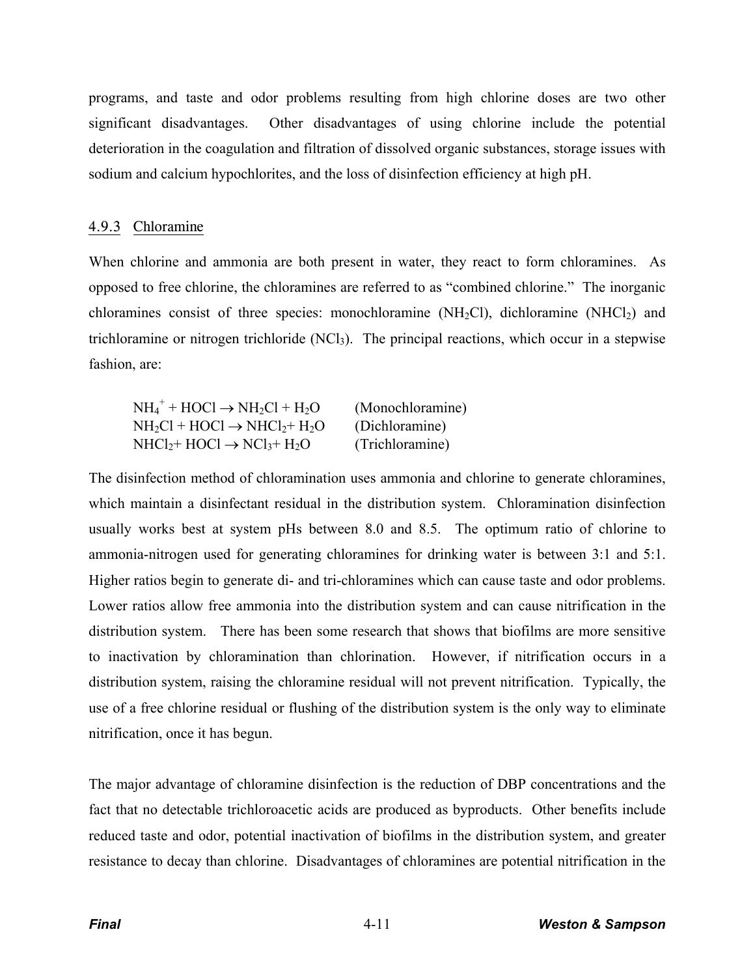programs, and taste and odor problems resulting from high chlorine doses are two other significant disadvantages. Other disadvantages of using chlorine include the potential deterioration in the coagulation and filtration of dissolved organic substances, storage issues with sodium and calcium hypochlorites, and the loss of disinfection efficiency at high pH.

## 4.9.3 Chloramine

When chlorine and ammonia are both present in water, they react to form chloramines. As opposed to free chlorine, the chloramines are referred to as "combined chlorine." The inorganic chloramines consist of three species: monochloramine ( $NH<sub>2</sub>Cl$ ), dichloramine ( $NHCl<sub>2</sub>$ ) and trichloramine or nitrogen trichloride  $(NCl<sub>3</sub>)$ . The principal reactions, which occur in a stepwise fashion, are:

| $NH_4^+ + HOCl \rightarrow NH_2Cl + H_2O$ | (Monochloramine) |
|-------------------------------------------|------------------|
| $NH_2Cl + HOCI \rightarrow NHCl_2 + H_2O$ | (Dichloramine)   |
| $NHCl2 + HOCl \rightarrow NCl3 + H2O$     | (Trichloramine)  |

The disinfection method of chloramination uses ammonia and chlorine to generate chloramines, which maintain a disinfectant residual in the distribution system. Chloramination disinfection usually works best at system pHs between 8.0 and 8.5. The optimum ratio of chlorine to ammonia-nitrogen used for generating chloramines for drinking water is between 3:1 and 5:1. Higher ratios begin to generate di- and tri-chloramines which can cause taste and odor problems. Lower ratios allow free ammonia into the distribution system and can cause nitrification in the distribution system. There has been some research that shows that biofilms are more sensitive to inactivation by chloramination than chlorination. However, if nitrification occurs in a distribution system, raising the chloramine residual will not prevent nitrification. Typically, the use of a free chlorine residual or flushing of the distribution system is the only way to eliminate nitrification, once it has begun.

The major advantage of chloramine disinfection is the reduction of DBP concentrations and the fact that no detectable trichloroacetic acids are produced as byproducts. Other benefits include reduced taste and odor, potential inactivation of biofilms in the distribution system, and greater resistance to decay than chlorine. Disadvantages of chloramines are potential nitrification in the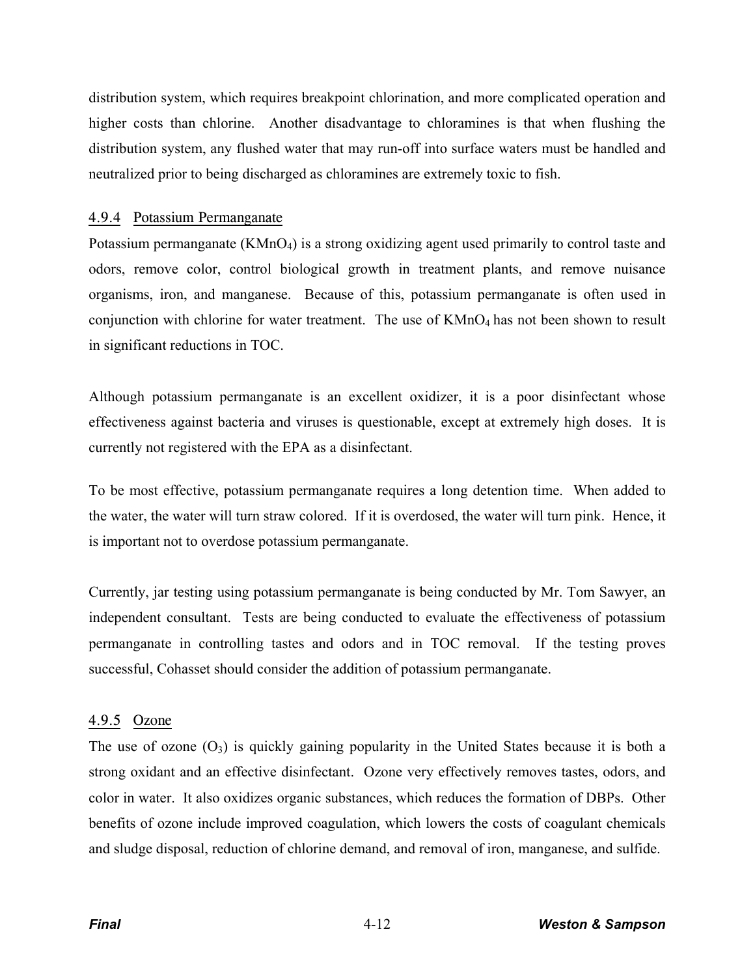distribution system, which requires breakpoint chlorination, and more complicated operation and higher costs than chlorine. Another disadvantage to chloramines is that when flushing the distribution system, any flushed water that may run-off into surface waters must be handled and neutralized prior to being discharged as chloramines are extremely toxic to fish.

## 4.9.4 Potassium Permanganate

Potassium permanganate (KMnO<sub>4</sub>) is a strong oxidizing agent used primarily to control taste and odors, remove color, control biological growth in treatment plants, and remove nuisance organisms, iron, and manganese. Because of this, potassium permanganate is often used in conjunction with chlorine for water treatment. The use of  $KMnO<sub>4</sub>$  has not been shown to result in significant reductions in TOC.

Although potassium permanganate is an excellent oxidizer, it is a poor disinfectant whose effectiveness against bacteria and viruses is questionable, except at extremely high doses. It is currently not registered with the EPA as a disinfectant.

To be most effective, potassium permanganate requires a long detention time. When added to the water, the water will turn straw colored. If it is overdosed, the water will turn pink. Hence, it is important not to overdose potassium permanganate.

Currently, jar testing using potassium permanganate is being conducted by Mr. Tom Sawyer, an independent consultant. Tests are being conducted to evaluate the effectiveness of potassium permanganate in controlling tastes and odors and in TOC removal. If the testing proves successful, Cohasset should consider the addition of potassium permanganate.

# 4.9.5 Ozone

The use of ozone  $(O_3)$  is quickly gaining popularity in the United States because it is both a strong oxidant and an effective disinfectant. Ozone very effectively removes tastes, odors, and color in water. It also oxidizes organic substances, which reduces the formation of DBPs. Other benefits of ozone include improved coagulation, which lowers the costs of coagulant chemicals and sludge disposal, reduction of chlorine demand, and removal of iron, manganese, and sulfide.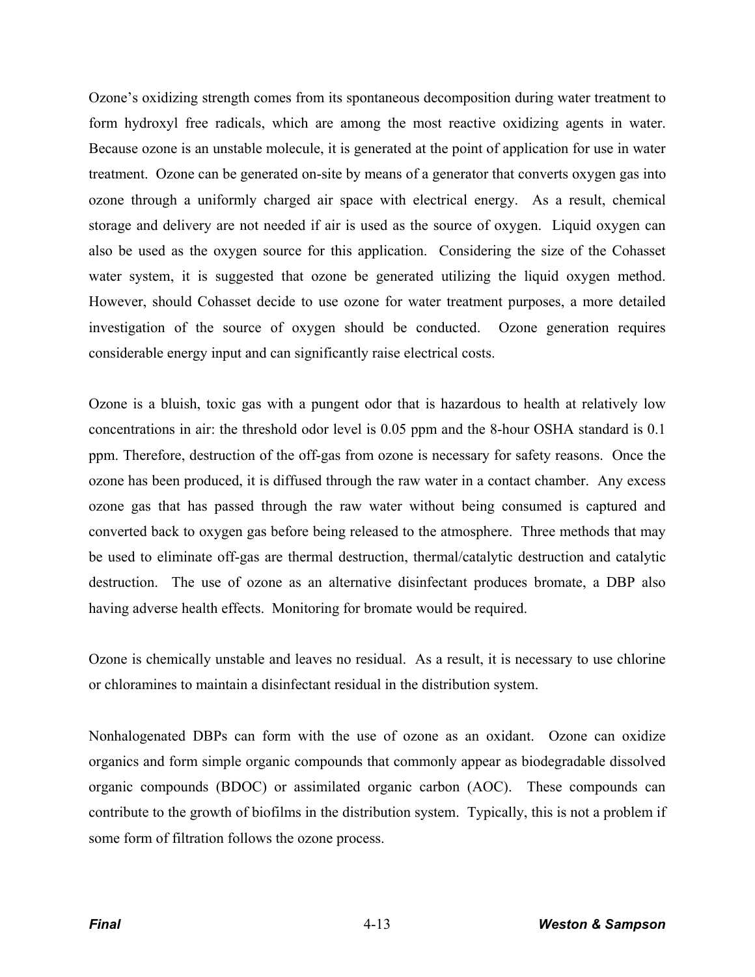Ozone's oxidizing strength comes from its spontaneous decomposition during water treatment to form hydroxyl free radicals, which are among the most reactive oxidizing agents in water. Because ozone is an unstable molecule, it is generated at the point of application for use in water treatment. Ozone can be generated on-site by means of a generator that converts oxygen gas into ozone through a uniformly charged air space with electrical energy. As a result, chemical storage and delivery are not needed if air is used as the source of oxygen. Liquid oxygen can also be used as the oxygen source for this application. Considering the size of the Cohasset water system, it is suggested that ozone be generated utilizing the liquid oxygen method. However, should Cohasset decide to use ozone for water treatment purposes, a more detailed investigation of the source of oxygen should be conducted. Ozone generation requires considerable energy input and can significantly raise electrical costs.

Ozone is a bluish, toxic gas with a pungent odor that is hazardous to health at relatively low concentrations in air: the threshold odor level is 0.05 ppm and the 8-hour OSHA standard is 0.1 ppm. Therefore, destruction of the off-gas from ozone is necessary for safety reasons. Once the ozone has been produced, it is diffused through the raw water in a contact chamber. Any excess ozone gas that has passed through the raw water without being consumed is captured and converted back to oxygen gas before being released to the atmosphere. Three methods that may be used to eliminate off-gas are thermal destruction, thermal/catalytic destruction and catalytic destruction. The use of ozone as an alternative disinfectant produces bromate, a DBP also having adverse health effects. Monitoring for bromate would be required.

Ozone is chemically unstable and leaves no residual. As a result, it is necessary to use chlorine or chloramines to maintain a disinfectant residual in the distribution system.

Nonhalogenated DBPs can form with the use of ozone as an oxidant. Ozone can oxidize organics and form simple organic compounds that commonly appear as biodegradable dissolved organic compounds (BDOC) or assimilated organic carbon (AOC). These compounds can contribute to the growth of biofilms in the distribution system. Typically, this is not a problem if some form of filtration follows the ozone process.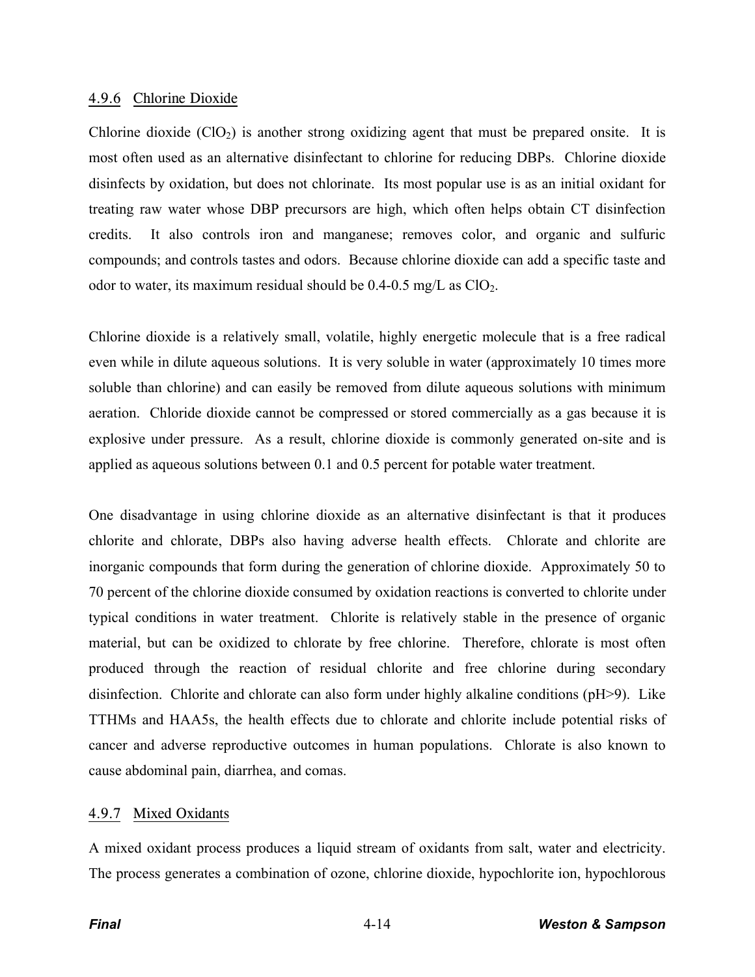#### 4.9.6 Chlorine Dioxide

Chlorine dioxide  $(CIO<sub>2</sub>)$  is another strong oxidizing agent that must be prepared onsite. It is most often used as an alternative disinfectant to chlorine for reducing DBPs. Chlorine dioxide disinfects by oxidation, but does not chlorinate. Its most popular use is as an initial oxidant for treating raw water whose DBP precursors are high, which often helps obtain CT disinfection credits. It also controls iron and manganese; removes color, and organic and sulfuric compounds; and controls tastes and odors. Because chlorine dioxide can add a specific taste and odor to water, its maximum residual should be  $0.4$ - $0.5$  mg/L as ClO<sub>2</sub>.

Chlorine dioxide is a relatively small, volatile, highly energetic molecule that is a free radical even while in dilute aqueous solutions. It is very soluble in water (approximately 10 times more soluble than chlorine) and can easily be removed from dilute aqueous solutions with minimum aeration. Chloride dioxide cannot be compressed or stored commercially as a gas because it is explosive under pressure. As a result, chlorine dioxide is commonly generated on-site and is applied as aqueous solutions between 0.1 and 0.5 percent for potable water treatment.

One disadvantage in using chlorine dioxide as an alternative disinfectant is that it produces chlorite and chlorate, DBPs also having adverse health effects. Chlorate and chlorite are inorganic compounds that form during the generation of chlorine dioxide. Approximately 50 to 70 percent of the chlorine dioxide consumed by oxidation reactions is converted to chlorite under typical conditions in water treatment. Chlorite is relatively stable in the presence of organic material, but can be oxidized to chlorate by free chlorine. Therefore, chlorate is most often produced through the reaction of residual chlorite and free chlorine during secondary disinfection. Chlorite and chlorate can also form under highly alkaline conditions (pH>9). Like TTHMs and HAA5s, the health effects due to chlorate and chlorite include potential risks of cancer and adverse reproductive outcomes in human populations. Chlorate is also known to cause abdominal pain, diarrhea, and comas.

# 4.9.7 Mixed Oxidants

A mixed oxidant process produces a liquid stream of oxidants from salt, water and electricity. The process generates a combination of ozone, chlorine dioxide, hypochlorite ion, hypochlorous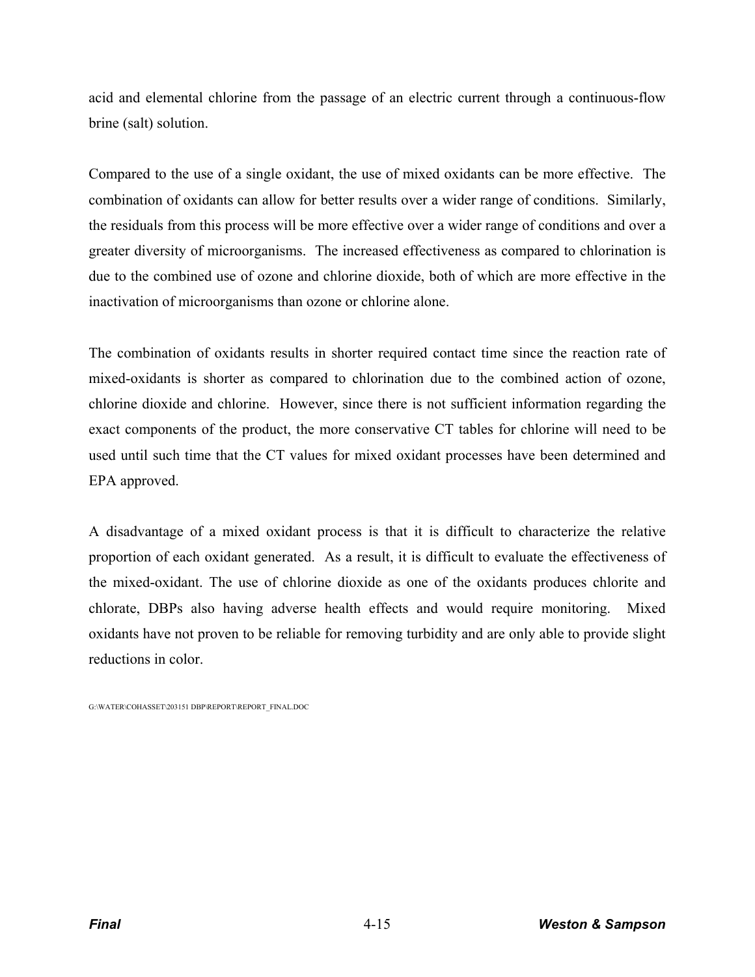acid and elemental chlorine from the passage of an electric current through a continuous-flow brine (salt) solution.

Compared to the use of a single oxidant, the use of mixed oxidants can be more effective. The combination of oxidants can allow for better results over a wider range of conditions. Similarly, the residuals from this process will be more effective over a wider range of conditions and over a greater diversity of microorganisms. The increased effectiveness as compared to chlorination is due to the combined use of ozone and chlorine dioxide, both of which are more effective in the inactivation of microorganisms than ozone or chlorine alone.

The combination of oxidants results in shorter required contact time since the reaction rate of mixed-oxidants is shorter as compared to chlorination due to the combined action of ozone, chlorine dioxide and chlorine. However, since there is not sufficient information regarding the exact components of the product, the more conservative CT tables for chlorine will need to be used until such time that the CT values for mixed oxidant processes have been determined and EPA approved.

A disadvantage of a mixed oxidant process is that it is difficult to characterize the relative proportion of each oxidant generated. As a result, it is difficult to evaluate the effectiveness of the mixed-oxidant. The use of chlorine dioxide as one of the oxidants produces chlorite and chlorate, DBPs also having adverse health effects and would require monitoring. Mixed oxidants have not proven to be reliable for removing turbidity and are only able to provide slight reductions in color.

G:\WATER\COHASSET\203151 DBP\REPORT\REPORT\_FINAL.DOC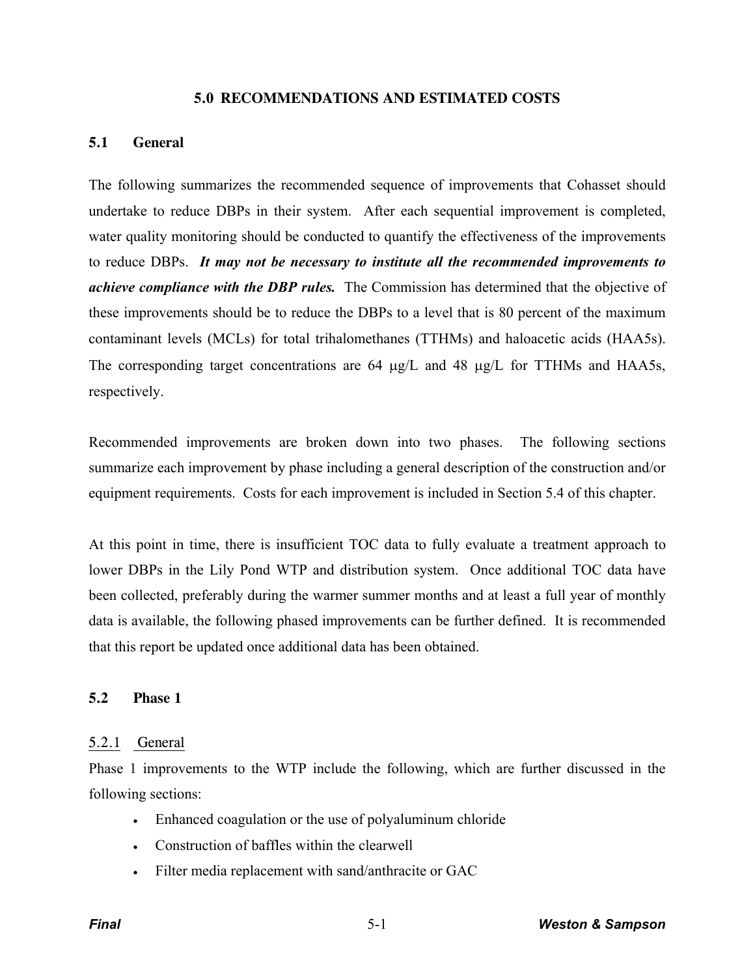#### **5.0 RECOMMENDATIONS AND ESTIMATED COSTS**

## **5.1 General**

The following summarizes the recommended sequence of improvements that Cohasset should undertake to reduce DBPs in their system. After each sequential improvement is completed, water quality monitoring should be conducted to quantify the effectiveness of the improvements to reduce DBPs. *It may not be necessary to institute all the recommended improvements to achieve compliance with the DBP rules.* The Commission has determined that the objective of these improvements should be to reduce the DBPs to a level that is 80 percent of the maximum contaminant levels (MCLs) for total trihalomethanes (TTHMs) and haloacetic acids (HAA5s). The corresponding target concentrations are  $64 \mu g/L$  and  $48 \mu g/L$  for TTHMs and HAA5s, respectively.

Recommended improvements are broken down into two phases. The following sections summarize each improvement by phase including a general description of the construction and/or equipment requirements. Costs for each improvement is included in Section 5.4 of this chapter.

At this point in time, there is insufficient TOC data to fully evaluate a treatment approach to lower DBPs in the Lily Pond WTP and distribution system. Once additional TOC data have been collected, preferably during the warmer summer months and at least a full year of monthly data is available, the following phased improvements can be further defined. It is recommended that this report be updated once additional data has been obtained.

# **5.2 Phase 1**

#### 5.2.1 General

Phase 1 improvements to the WTP include the following, which are further discussed in the following sections:

- Financed coagulation or the use of polyaluminum chloride
- Construction of baffles within the clearwell
- Filter media replacement with sand/anthracite or GAC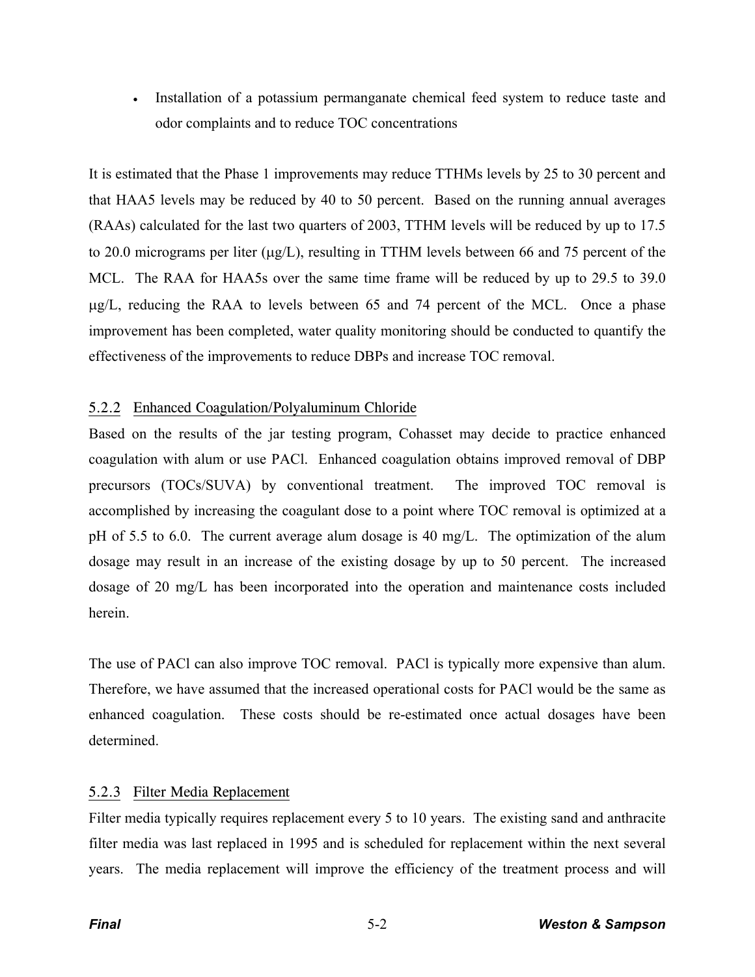• Installation of a potassium permanganate chemical feed system to reduce taste and odor complaints and to reduce TOC concentrations

It is estimated that the Phase 1 improvements may reduce TTHMs levels by 25 to 30 percent and that HAA5 levels may be reduced by 40 to 50 percent. Based on the running annual averages (RAAs) calculated for the last two quarters of 2003, TTHM levels will be reduced by up to 17.5 to 20.0 micrograms per liter  $(\mu g/L)$ , resulting in TTHM levels between 66 and 75 percent of the MCL. The RAA for HAA5s over the same time frame will be reduced by up to 29.5 to 39.0  $\mu$ g/L, reducing the RAA to levels between 65 and 74 percent of the MCL. Once a phase improvement has been completed, water quality monitoring should be conducted to quantify the effectiveness of the improvements to reduce DBPs and increase TOC removal.

# 5.2.2 Enhanced Coagulation/Polyaluminum Chloride

Based on the results of the jar testing program, Cohasset may decide to practice enhanced coagulation with alum or use PACl. Enhanced coagulation obtains improved removal of DBP precursors (TOCs/SUVA) by conventional treatment. The improved TOC removal is accomplished by increasing the coagulant dose to a point where TOC removal is optimized at a pH of 5.5 to 6.0. The current average alum dosage is 40 mg/L. The optimization of the alum dosage may result in an increase of the existing dosage by up to 50 percent. The increased dosage of 20 mg/L has been incorporated into the operation and maintenance costs included herein.

The use of PACl can also improve TOC removal. PACl is typically more expensive than alum. Therefore, we have assumed that the increased operational costs for PACl would be the same as enhanced coagulation. These costs should be re-estimated once actual dosages have been determined.

# 5.2.3 Filter Media Replacement

Filter media typically requires replacement every 5 to 10 years. The existing sand and anthracite filter media was last replaced in 1995 and is scheduled for replacement within the next several years. The media replacement will improve the efficiency of the treatment process and will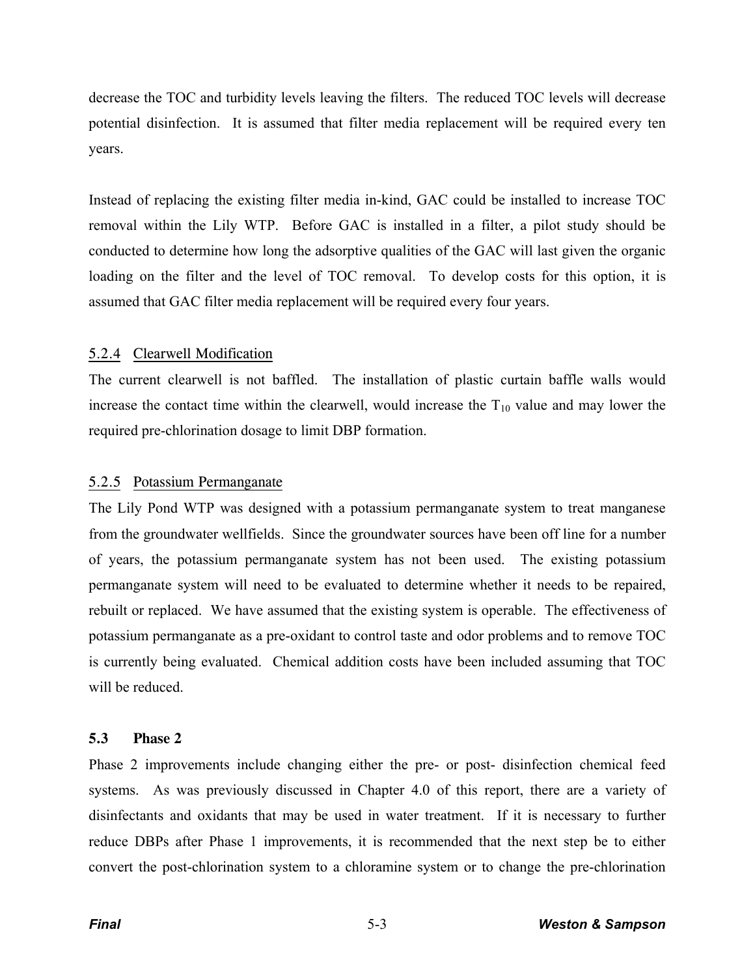decrease the TOC and turbidity levels leaving the filters. The reduced TOC levels will decrease potential disinfection. It is assumed that filter media replacement will be required every ten years.

Instead of replacing the existing filter media in-kind, GAC could be installed to increase TOC removal within the Lily WTP. Before GAC is installed in a filter, a pilot study should be conducted to determine how long the adsorptive qualities of the GAC will last given the organic loading on the filter and the level of TOC removal. To develop costs for this option, it is assumed that GAC filter media replacement will be required every four years.

# 5.2.4 Clearwell Modification

The current clearwell is not baffled. The installation of plastic curtain baffle walls would increase the contact time within the clearwell, would increase the  $T_{10}$  value and may lower the required pre-chlorination dosage to limit DBP formation.

# 5.2.5 Potassium Permanganate

The Lily Pond WTP was designed with a potassium permanganate system to treat manganese from the groundwater wellfields. Since the groundwater sources have been off line for a number of years, the potassium permanganate system has not been used. The existing potassium permanganate system will need to be evaluated to determine whether it needs to be repaired, rebuilt or replaced. We have assumed that the existing system is operable. The effectiveness of potassium permanganate as a pre-oxidant to control taste and odor problems and to remove TOC is currently being evaluated. Chemical addition costs have been included assuming that TOC will be reduced.

# **5.3 Phase 2**

Phase 2 improvements include changing either the pre- or post- disinfection chemical feed systems. As was previously discussed in Chapter 4.0 of this report, there are a variety of disinfectants and oxidants that may be used in water treatment. If it is necessary to further reduce DBPs after Phase 1 improvements, it is recommended that the next step be to either convert the post-chlorination system to a chloramine system or to change the pre-chlorination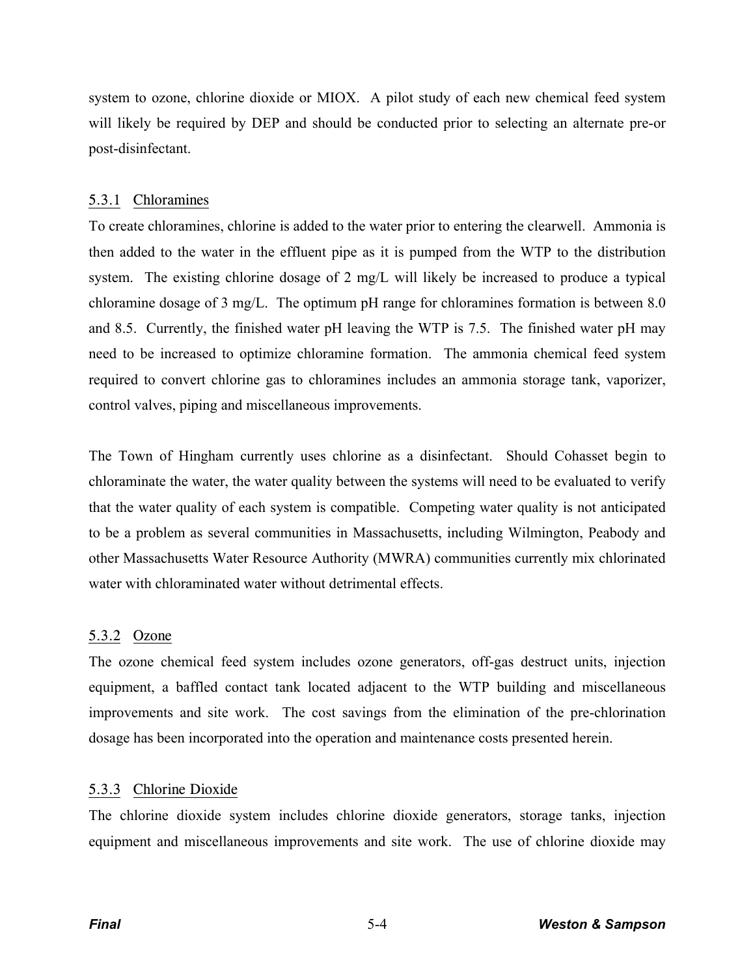system to ozone, chlorine dioxide or MIOX. A pilot study of each new chemical feed system will likely be required by DEP and should be conducted prior to selecting an alternate pre-or post-disinfectant.

# 5.3.1 Chloramines

To create chloramines, chlorine is added to the water prior to entering the clearwell. Ammonia is then added to the water in the effluent pipe as it is pumped from the WTP to the distribution system. The existing chlorine dosage of 2 mg/L will likely be increased to produce a typical chloramine dosage of 3 mg/L. The optimum pH range for chloramines formation is between 8.0 and 8.5. Currently, the finished water pH leaving the WTP is 7.5. The finished water pH may need to be increased to optimize chloramine formation. The ammonia chemical feed system required to convert chlorine gas to chloramines includes an ammonia storage tank, vaporizer, control valves, piping and miscellaneous improvements.

The Town of Hingham currently uses chlorine as a disinfectant. Should Cohasset begin to chloraminate the water, the water quality between the systems will need to be evaluated to verify that the water quality of each system is compatible. Competing water quality is not anticipated to be a problem as several communities in Massachusetts, including Wilmington, Peabody and other Massachusetts Water Resource Authority (MWRA) communities currently mix chlorinated water with chloraminated water without detrimental effects.

# 5.3.2 Ozone

The ozone chemical feed system includes ozone generators, off-gas destruct units, injection equipment, a baffled contact tank located adjacent to the WTP building and miscellaneous improvements and site work. The cost savings from the elimination of the pre-chlorination dosage has been incorporated into the operation and maintenance costs presented herein.

# 5.3.3 Chlorine Dioxide

The chlorine dioxide system includes chlorine dioxide generators, storage tanks, injection equipment and miscellaneous improvements and site work. The use of chlorine dioxide may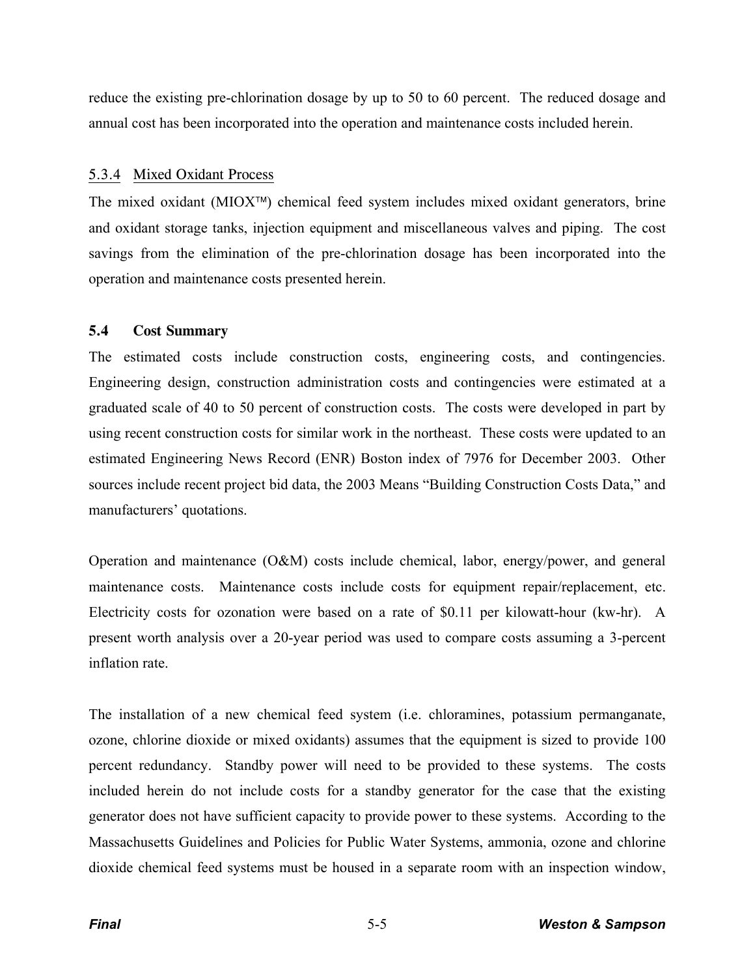reduce the existing pre-chlorination dosage by up to 50 to 60 percent. The reduced dosage and annual cost has been incorporated into the operation and maintenance costs included herein.

#### 5.3.4 Mixed Oxidant Process

The mixed oxidant ( $MIOX^T$ ) chemical feed system includes mixed oxidant generators, brine and oxidant storage tanks, injection equipment and miscellaneous valves and piping. The cost savings from the elimination of the pre-chlorination dosage has been incorporated into the operation and maintenance costs presented herein.

### **5.4 Cost Summary**

The estimated costs include construction costs, engineering costs, and contingencies. Engineering design, construction administration costs and contingencies were estimated at a graduated scale of 40 to 50 percent of construction costs. The costs were developed in part by using recent construction costs for similar work in the northeast. These costs were updated to an estimated Engineering News Record (ENR) Boston index of 7976 for December 2003. Other sources include recent project bid data, the 2003 Means "Building Construction Costs Data," and manufacturers' quotations.

Operation and maintenance (O&M) costs include chemical, labor, energy/power, and general maintenance costs. Maintenance costs include costs for equipment repair/replacement, etc. Electricity costs for ozonation were based on a rate of \$0.11 per kilowatt-hour (kw-hr). A present worth analysis over a 20-year period was used to compare costs assuming a 3-percent inflation rate.

The installation of a new chemical feed system (i.e. chloramines, potassium permanganate, ozone, chlorine dioxide or mixed oxidants) assumes that the equipment is sized to provide 100 percent redundancy. Standby power will need to be provided to these systems. The costs included herein do not include costs for a standby generator for the case that the existing generator does not have sufficient capacity to provide power to these systems. According to the Massachusetts Guidelines and Policies for Public Water Systems, ammonia, ozone and chlorine dioxide chemical feed systems must be housed in a separate room with an inspection window,